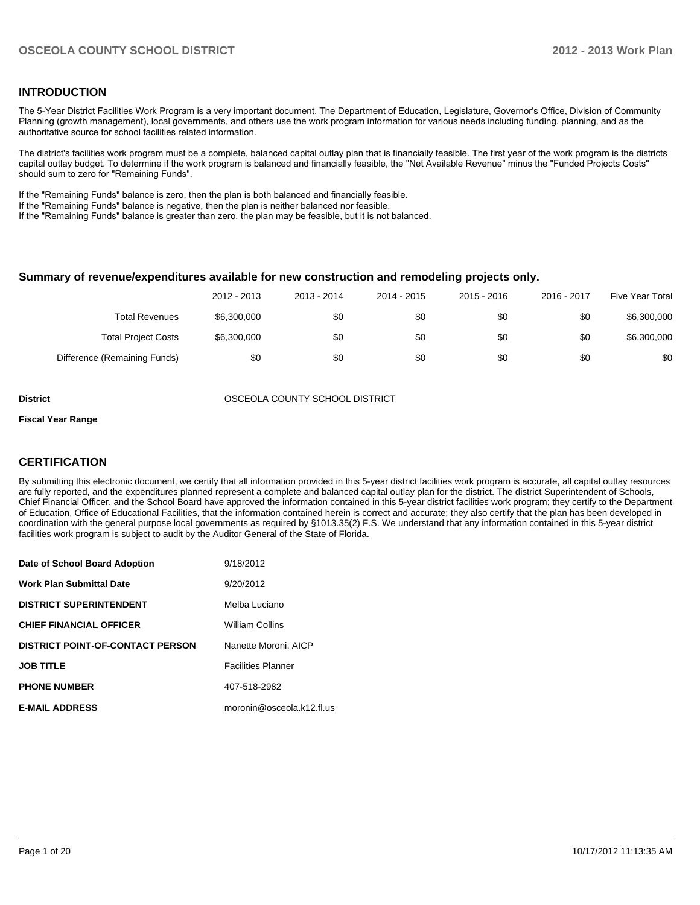#### **INTRODUCTION**

The 5-Year District Facilities Work Program is a very important document. The Department of Education, Legislature, Governor's Office, Division of Community Planning (growth management), local governments, and others use the work program information for various needs including funding, planning, and as the authoritative source for school facilities related information.

The district's facilities work program must be a complete, balanced capital outlay plan that is financially feasible. The first year of the work program is the districts capital outlay budget. To determine if the work program is balanced and financially feasible, the "Net Available Revenue" minus the "Funded Projects Costs" should sum to zero for "Remaining Funds".

If the "Remaining Funds" balance is zero, then the plan is both balanced and financially feasible.

If the "Remaining Funds" balance is negative, then the plan is neither balanced nor feasible.

If the "Remaining Funds" balance is greater than zero, the plan may be feasible, but it is not balanced.

#### **Summary of revenue/expenditures available for new construction and remodeling projects only.**

|                              | 2012 - 2013 | 2013 - 2014 | 2014 - 2015 | $2015 - 2016$ | 2016 - 2017 | Five Year Total |
|------------------------------|-------------|-------------|-------------|---------------|-------------|-----------------|
| <b>Total Revenues</b>        | \$6,300,000 | \$0         | \$0         | \$0           | \$0         | \$6,300,000     |
| <b>Total Project Costs</b>   | \$6,300,000 | \$0         | \$0         | \$0           | \$0         | \$6,300,000     |
| Difference (Remaining Funds) | \$0         | \$0         | \$0         | \$0           | \$0         | \$0             |

**District** OSCEOLA COUNTY SCHOOL DISTRICT

#### **Fiscal Year Range**

#### **CERTIFICATION**

By submitting this electronic document, we certify that all information provided in this 5-year district facilities work program is accurate, all capital outlay resources are fully reported, and the expenditures planned represent a complete and balanced capital outlay plan for the district. The district Superintendent of Schools, Chief Financial Officer, and the School Board have approved the information contained in this 5-year district facilities work program; they certify to the Department of Education, Office of Educational Facilities, that the information contained herein is correct and accurate; they also certify that the plan has been developed in coordination with the general purpose local governments as required by §1013.35(2) F.S. We understand that any information contained in this 5-year district facilities work program is subject to audit by the Auditor General of the State of Florida.

| Date of School Board Adoption           | 9/18/2012                 |
|-----------------------------------------|---------------------------|
| <b>Work Plan Submittal Date</b>         | 9/20/2012                 |
| <b>DISTRICT SUPERINTENDENT</b>          | Melba Luciano             |
| <b>CHIEF FINANCIAL OFFICER</b>          | <b>William Collins</b>    |
| <b>DISTRICT POINT-OF-CONTACT PERSON</b> | Nanette Moroni, AICP      |
| <b>JOB TITLE</b>                        | <b>Facilities Planner</b> |
| <b>PHONE NUMBER</b>                     | 407-518-2982              |
| <b>E-MAIL ADDRESS</b>                   | moronin@osceola.k12.fl.us |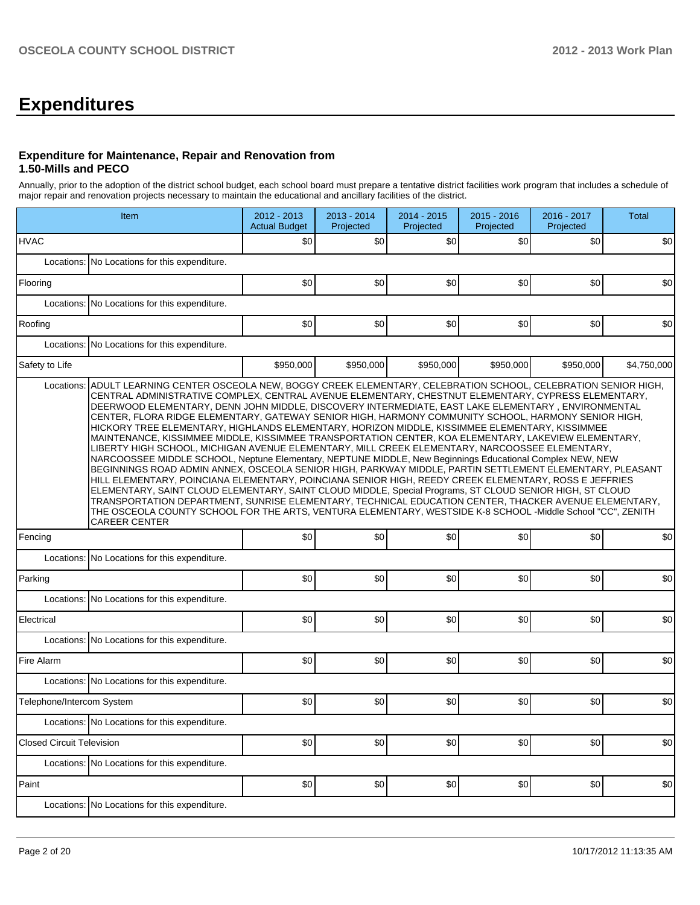## **Expenditures**

#### **Expenditure for Maintenance, Repair and Renovation from 1.50-Mills and PECO**

Annually, prior to the adoption of the district school budget, each school board must prepare a tentative district facilities work program that includes a schedule of major repair and renovation projects necessary to maintain the educational and ancillary facilities of the district.

|                                  | Item                                                                                                                                                                                                                                                                                                                                                                                                                                                                                                                                                                                                                                                                                                                                                                                                                                                                                                                                                                                                                                                                                                                                                                                                                                                                                                                       |           | 2013 - 2014<br>Projected | 2014 - 2015<br>Projected | 2015 - 2016<br>Projected | 2016 - 2017<br>Projected | Total       |  |  |  |  |  |
|----------------------------------|----------------------------------------------------------------------------------------------------------------------------------------------------------------------------------------------------------------------------------------------------------------------------------------------------------------------------------------------------------------------------------------------------------------------------------------------------------------------------------------------------------------------------------------------------------------------------------------------------------------------------------------------------------------------------------------------------------------------------------------------------------------------------------------------------------------------------------------------------------------------------------------------------------------------------------------------------------------------------------------------------------------------------------------------------------------------------------------------------------------------------------------------------------------------------------------------------------------------------------------------------------------------------------------------------------------------------|-----------|--------------------------|--------------------------|--------------------------|--------------------------|-------------|--|--|--|--|--|
| <b>HVAC</b>                      |                                                                                                                                                                                                                                                                                                                                                                                                                                                                                                                                                                                                                                                                                                                                                                                                                                                                                                                                                                                                                                                                                                                                                                                                                                                                                                                            | \$0       | \$0                      | \$0                      | \$0                      | \$0                      | \$0         |  |  |  |  |  |
| Locations:                       | No Locations for this expenditure.                                                                                                                                                                                                                                                                                                                                                                                                                                                                                                                                                                                                                                                                                                                                                                                                                                                                                                                                                                                                                                                                                                                                                                                                                                                                                         |           |                          |                          |                          |                          |             |  |  |  |  |  |
| Flooring                         |                                                                                                                                                                                                                                                                                                                                                                                                                                                                                                                                                                                                                                                                                                                                                                                                                                                                                                                                                                                                                                                                                                                                                                                                                                                                                                                            | \$0       | \$0                      | \$0                      | \$0                      | \$0                      | \$0         |  |  |  |  |  |
| Locations:                       | No Locations for this expenditure.                                                                                                                                                                                                                                                                                                                                                                                                                                                                                                                                                                                                                                                                                                                                                                                                                                                                                                                                                                                                                                                                                                                                                                                                                                                                                         |           |                          |                          |                          |                          |             |  |  |  |  |  |
| Roofing                          |                                                                                                                                                                                                                                                                                                                                                                                                                                                                                                                                                                                                                                                                                                                                                                                                                                                                                                                                                                                                                                                                                                                                                                                                                                                                                                                            | \$0       | \$0                      | \$0                      | \$0                      | \$0                      | \$0         |  |  |  |  |  |
| Locations:                       | No Locations for this expenditure.                                                                                                                                                                                                                                                                                                                                                                                                                                                                                                                                                                                                                                                                                                                                                                                                                                                                                                                                                                                                                                                                                                                                                                                                                                                                                         |           |                          |                          |                          |                          |             |  |  |  |  |  |
| Safety to Life                   |                                                                                                                                                                                                                                                                                                                                                                                                                                                                                                                                                                                                                                                                                                                                                                                                                                                                                                                                                                                                                                                                                                                                                                                                                                                                                                                            | \$950,000 | \$950,000                | \$950,000                | \$950,000                | \$950,000                | \$4,750,000 |  |  |  |  |  |
|                                  | CENTRAL ADMINISTRATIVE COMPLEX, CENTRAL AVENUE ELEMENTARY, CHESTNUT ELEMENTARY, CYPRESS ELEMENTARY,<br>DEERWOOD ELEMENTARY, DENN JOHN MIDDLE, DISCOVERY INTERMEDIATE, EAST LAKE ELEMENTARY, ENVIRONMENTAL<br>CENTER, FLORA RIDGE ELEMENTARY, GATEWAY SENIOR HIGH, HARMONY COMMUNITY SCHOOL, HARMONY SENIOR HIGH,<br>HICKORY TREE ELEMENTARY, HIGHLANDS ELEMENTARY, HORIZON MIDDLE, KISSIMMEE ELEMENTARY, KISSIMMEE<br>MAINTENANCE, KISSIMMEE MIDDLE, KISSIMMEE TRANSPORTATION CENTER, KOA ELEMENTARY, LAKEVIEW ELEMENTARY,<br>LIBERTY HIGH SCHOOL, MICHIGAN AVENUE ELEMENTARY, MILL CREEK ELEMENTARY, NARCOOSSEE ELEMENTARY.<br>NARCOOSSEE MIDDLE SCHOOL, Neptune Elementary, NEPTUNE MIDDLE, New Beginnings Educational Complex NEW, NEW<br>BEGINNINGS ROAD ADMIN ANNEX, OSCEOLA SENIOR HIGH, PARKWAY MIDDLE, PARTIN SETTLEMENT ELEMENTARY, PLEASANT<br>HILL ELEMENTARY, POINCIANA ELEMENTARY, POINCIANA SENIOR HIGH, REEDY CREEK ELEMENTARY, ROSS E JEFFRIES<br>ELEMENTARY, SAINT CLOUD ELEMENTARY, SAINT CLOUD MIDDLE, Special Programs, ST CLOUD SENIOR HIGH, ST CLOUD<br>TRANSPORTATION DEPARTMENT, SUNRISE ELEMENTARY, TECHNICAL EDUCATION CENTER, THACKER AVENUE ELEMENTARY,<br>THE OSCEOLA COUNTY SCHOOL FOR THE ARTS, VENTURA ELEMENTARY, WESTSIDE K-8 SCHOOL -Middle School "CC", ZENITH<br><b>CAREER CENTER</b> |           |                          |                          |                          |                          |             |  |  |  |  |  |
| Fencing                          |                                                                                                                                                                                                                                                                                                                                                                                                                                                                                                                                                                                                                                                                                                                                                                                                                                                                                                                                                                                                                                                                                                                                                                                                                                                                                                                            | \$0       | \$0                      | \$0                      | \$0                      | \$0                      | \$0         |  |  |  |  |  |
| Locations:                       | No Locations for this expenditure.                                                                                                                                                                                                                                                                                                                                                                                                                                                                                                                                                                                                                                                                                                                                                                                                                                                                                                                                                                                                                                                                                                                                                                                                                                                                                         |           |                          |                          |                          |                          |             |  |  |  |  |  |
| Parking                          |                                                                                                                                                                                                                                                                                                                                                                                                                                                                                                                                                                                                                                                                                                                                                                                                                                                                                                                                                                                                                                                                                                                                                                                                                                                                                                                            | \$0       | \$0                      | \$0                      | \$0                      | \$0                      | \$0         |  |  |  |  |  |
| Locations:                       | No Locations for this expenditure.                                                                                                                                                                                                                                                                                                                                                                                                                                                                                                                                                                                                                                                                                                                                                                                                                                                                                                                                                                                                                                                                                                                                                                                                                                                                                         |           |                          |                          |                          |                          |             |  |  |  |  |  |
| Electrical                       |                                                                                                                                                                                                                                                                                                                                                                                                                                                                                                                                                                                                                                                                                                                                                                                                                                                                                                                                                                                                                                                                                                                                                                                                                                                                                                                            | \$0       | \$0                      | \$0                      | \$0                      | \$0                      | \$0         |  |  |  |  |  |
| Locations:                       | No Locations for this expenditure.                                                                                                                                                                                                                                                                                                                                                                                                                                                                                                                                                                                                                                                                                                                                                                                                                                                                                                                                                                                                                                                                                                                                                                                                                                                                                         |           |                          |                          |                          |                          |             |  |  |  |  |  |
| Fire Alarm                       |                                                                                                                                                                                                                                                                                                                                                                                                                                                                                                                                                                                                                                                                                                                                                                                                                                                                                                                                                                                                                                                                                                                                                                                                                                                                                                                            | \$0       | \$0                      | \$0                      | \$0                      | \$0                      | \$0         |  |  |  |  |  |
|                                  | Locations: No Locations for this expenditure.                                                                                                                                                                                                                                                                                                                                                                                                                                                                                                                                                                                                                                                                                                                                                                                                                                                                                                                                                                                                                                                                                                                                                                                                                                                                              |           |                          |                          |                          |                          |             |  |  |  |  |  |
| Telephone/Intercom System        |                                                                                                                                                                                                                                                                                                                                                                                                                                                                                                                                                                                                                                                                                                                                                                                                                                                                                                                                                                                                                                                                                                                                                                                                                                                                                                                            | \$0       | \$0                      | \$0                      | \$0                      | \$0                      | \$0         |  |  |  |  |  |
|                                  | Locations: No Locations for this expenditure.                                                                                                                                                                                                                                                                                                                                                                                                                                                                                                                                                                                                                                                                                                                                                                                                                                                                                                                                                                                                                                                                                                                                                                                                                                                                              |           |                          |                          |                          |                          |             |  |  |  |  |  |
| <b>Closed Circuit Television</b> |                                                                                                                                                                                                                                                                                                                                                                                                                                                                                                                                                                                                                                                                                                                                                                                                                                                                                                                                                                                                                                                                                                                                                                                                                                                                                                                            | \$0       | \$0                      | \$0                      | \$0                      | \$0                      | \$0         |  |  |  |  |  |
|                                  | Locations: No Locations for this expenditure.                                                                                                                                                                                                                                                                                                                                                                                                                                                                                                                                                                                                                                                                                                                                                                                                                                                                                                                                                                                                                                                                                                                                                                                                                                                                              |           |                          |                          |                          |                          |             |  |  |  |  |  |
| Paint                            |                                                                                                                                                                                                                                                                                                                                                                                                                                                                                                                                                                                                                                                                                                                                                                                                                                                                                                                                                                                                                                                                                                                                                                                                                                                                                                                            | \$0       | \$0                      | \$0                      | \$0]                     | \$0                      | \$0         |  |  |  |  |  |
|                                  | Locations: No Locations for this expenditure.                                                                                                                                                                                                                                                                                                                                                                                                                                                                                                                                                                                                                                                                                                                                                                                                                                                                                                                                                                                                                                                                                                                                                                                                                                                                              |           |                          |                          |                          |                          |             |  |  |  |  |  |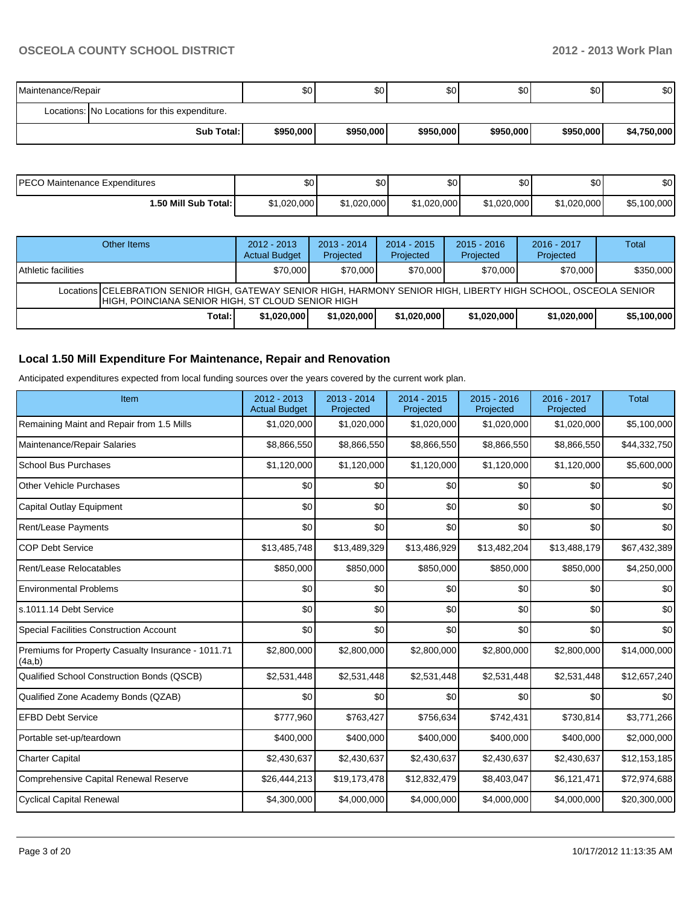| Maintenance/Repair |                                               | \$0 <sub>1</sub> | \$0       | \$0       | ا 30      | \$0       | \$0         |  |
|--------------------|-----------------------------------------------|------------------|-----------|-----------|-----------|-----------|-------------|--|
|                    | Locations: No Locations for this expenditure. |                  |           |           |           |           |             |  |
|                    | <b>Sub Total:</b>                             | \$950,000        | \$950,000 | \$950,000 | \$950,000 | \$950,000 | \$4,750,000 |  |

| PECO Maintenance Expenditures | \$0         | ሶስ<br>JU.   | $\sim$<br>υυ | \$0 <sub>1</sub> | \$0         | \$0         |
|-------------------------------|-------------|-------------|--------------|------------------|-------------|-------------|
| l.50 Mill Sub Total: I        | \$1,020,000 | \$1.020.000 | \$1,020,000  | \$1,020,000      | \$1,020,000 | \$5,100,000 |

|                            | Other Items                                                                                                                                                             | $2012 - 2013$<br><b>Actual Budget</b> | $2013 - 2014$<br>Projected | $2014 - 2015$<br>Projected | $2015 - 2016$<br>Projected | 2016 - 2017<br>Projected | Total       |  |  |  |
|----------------------------|-------------------------------------------------------------------------------------------------------------------------------------------------------------------------|---------------------------------------|----------------------------|----------------------------|----------------------------|--------------------------|-------------|--|--|--|
| <b>Athletic facilities</b> |                                                                                                                                                                         | \$70,000                              | \$70,000                   | \$70,000                   | \$70,000                   | \$70,000                 | \$350,000   |  |  |  |
|                            | Locations   CELEBRATION SENIOR HIGH, GATEWAY SENIOR HIGH, HARMONY SENIOR HIGH, LIBERTY HIGH SCHOOL, OSCEOLA SENIOR<br>HIGH, POINCIANA SENIOR HIGH, ST CLOUD SENIOR HIGH |                                       |                            |                            |                            |                          |             |  |  |  |
|                            | Total:                                                                                                                                                                  | \$1,020,000                           | \$1,020,000                | \$1,020,000                | \$1,020,000                | \$1,020,000              | \$5,100,000 |  |  |  |

### **Local 1.50 Mill Expenditure For Maintenance, Repair and Renovation**

Anticipated expenditures expected from local funding sources over the years covered by the current work plan.

| Item                                                         | 2012 - 2013<br><b>Actual Budget</b> | $2013 - 2014$<br>Projected | 2014 - 2015<br>Projected | 2015 - 2016<br>Projected | 2016 - 2017<br>Projected | <b>Total</b> |
|--------------------------------------------------------------|-------------------------------------|----------------------------|--------------------------|--------------------------|--------------------------|--------------|
| Remaining Maint and Repair from 1.5 Mills                    | \$1,020,000                         | \$1,020,000                | \$1,020,000              | \$1,020,000              | \$1,020,000              | \$5,100,000  |
| Maintenance/Repair Salaries                                  | \$8,866,550                         | \$8,866,550                | \$8,866,550              | \$8,866,550              | \$8,866,550              | \$44,332,750 |
| <b>School Bus Purchases</b>                                  | \$1,120,000                         | \$1,120,000                | \$1,120,000              | \$1,120,000              | \$1,120,000              | \$5,600,000  |
| <b>Other Vehicle Purchases</b>                               | \$0                                 | \$0                        | \$0                      | \$0                      | \$0                      | \$0          |
| Capital Outlay Equipment                                     | \$0                                 | \$0                        | \$0                      | \$0                      | \$0                      | \$0          |
| Rent/Lease Payments                                          | \$0                                 | \$0                        | \$0                      | \$0                      | \$0                      | \$0          |
| <b>COP Debt Service</b>                                      | \$13,485,748                        | \$13,489,329               | \$13,486,929             | \$13,482,204             | \$13,488,179             | \$67,432,389 |
| Rent/Lease Relocatables                                      | \$850,000                           | \$850,000                  | \$850,000                | \$850,000                | \$850,000                | \$4,250,000  |
| <b>Environmental Problems</b>                                | \$0                                 | \$0                        | \$0                      | \$0                      | \$0                      | \$0          |
| s.1011.14 Debt Service                                       | \$0                                 | \$0                        | \$0                      | \$0                      | \$0                      | \$0          |
| <b>Special Facilities Construction Account</b>               | \$0                                 | \$0                        | \$0                      | \$0                      | \$0                      | \$0          |
| Premiums for Property Casualty Insurance - 1011.71<br>(4a,b) | \$2,800,000                         | \$2,800,000                | \$2,800,000              | \$2,800,000              | \$2,800,000              | \$14,000,000 |
| Qualified School Construction Bonds (QSCB)                   | \$2,531,448                         | \$2,531,448                | \$2,531,448              | \$2,531,448              | \$2,531,448              | \$12,657,240 |
| Qualified Zone Academy Bonds (QZAB)                          | \$0                                 | \$0                        | \$0                      | \$0                      | \$0                      | \$0          |
| <b>EFBD Debt Service</b>                                     | \$777,960                           | \$763,427                  | \$756,634                | \$742,431                | \$730,814                | \$3,771,266  |
| Portable set-up/teardown                                     | \$400,000                           | \$400,000                  | \$400,000                | \$400,000                | \$400,000                | \$2,000,000  |
| <b>Charter Capital</b>                                       | \$2,430,637                         | \$2,430,637                | \$2,430,637              | \$2,430,637              | \$2,430,637              | \$12,153,185 |
| <b>Comprehensive Capital Renewal Reserve</b>                 | \$26,444,213                        | \$19,173,478               | \$12,832,479             | \$8,403,047              | \$6,121,471              | \$72,974,688 |
| <b>Cyclical Capital Renewal</b>                              | \$4,300,000                         | \$4,000,000                | \$4,000,000              | \$4,000,000              | \$4,000,000              | \$20,300,000 |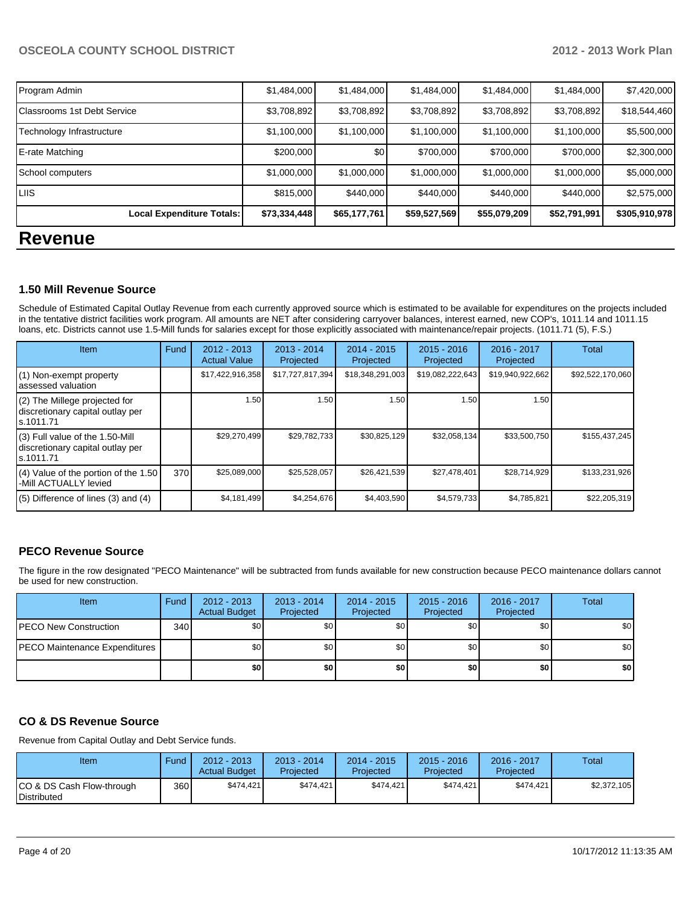| <b>Revenue</b>                     |              |              |              |              |              |               |
|------------------------------------|--------------|--------------|--------------|--------------|--------------|---------------|
| <b>Local Expenditure Totals:</b>   | \$73,334,448 | \$65,177,761 | \$59,527,569 | \$55,079,209 | \$52,791,991 | \$305,910,978 |
| <b>LIIS</b>                        | \$815,000    | \$440,000    | \$440,000    | \$440,000    | \$440,000    | \$2,575,000   |
| School computers                   | \$1,000,000  | \$1,000,000  | \$1,000,000  | \$1,000,000  | \$1,000,000  | \$5,000,000   |
| E-rate Matching                    | \$200,000    | \$0          | \$700,000    | \$700,000    | \$700,000    | \$2,300,000   |
| Technology Infrastructure          | \$1,100,000  | \$1,100,000  | \$1,100,000  | \$1,100,000  | \$1,100,000  | \$5,500,000   |
| <b>Classrooms 1st Debt Service</b> | \$3,708,892  | \$3,708,892  | \$3,708,892  | \$3,708,892  | \$3,708,892  | \$18,544,460  |
| Program Admin                      | \$1,484,000  | \$1,484,000  | \$1,484,000  | \$1,484,000  | \$1,484,000  | \$7,420,000   |

## **1.50 Mill Revenue Source**

Schedule of Estimated Capital Outlay Revenue from each currently approved source which is estimated to be available for expenditures on the projects included in the tentative district facilities work program. All amounts are NET after considering carryover balances, interest earned, new COP's, 1011.14 and 1011.15 loans, etc. Districts cannot use 1.5-Mill funds for salaries except for those explicitly associated with maintenance/repair projects. (1011.71 (5), F.S.)

| Item                                                                                | Fund | $2012 - 2013$<br><b>Actual Value</b> | $2013 - 2014$<br>Projected | $2014 - 2015$<br>Projected | $2015 - 2016$<br>Projected | 2016 - 2017<br>Projected | Total            |
|-------------------------------------------------------------------------------------|------|--------------------------------------|----------------------------|----------------------------|----------------------------|--------------------------|------------------|
| (1) Non-exempt property<br>lassessed valuation                                      |      | \$17,422,916,358                     | \$17,727,817,394           | \$18,348,291,003           | \$19,082,222,643           | \$19,940,922,662         | \$92,522,170,060 |
| (2) The Millege projected for<br>discretionary capital outlay per<br>ls.1011.71     |      | 1.50                                 | 1.50                       | 1.50                       | 1.50                       | 1.50                     |                  |
| $(3)$ Full value of the 1.50-Mill<br>discretionary capital outlay per<br>ls.1011.71 |      | \$29,270,499                         | \$29,782,733               | \$30,825,129               | \$32,058,134               | \$33,500,750             | \$155,437,245    |
| $(4)$ Value of the portion of the 1.50<br>-Mill ACTUALLY levied                     | 370  | \$25,089,000                         | \$25,528,057               | \$26,421,539               | \$27,478,401               | \$28,714,929             | \$133,231,926    |
| $(5)$ Difference of lines $(3)$ and $(4)$                                           |      | \$4,181,499                          | \$4,254,676                | \$4,403,590                | \$4,579,733                | \$4,785,821              | \$22,205,319     |

#### **PECO Revenue Source**

The figure in the row designated "PECO Maintenance" will be subtracted from funds available for new construction because PECO maintenance dollars cannot be used for new construction.

| <b>Item</b>                   | Fund | $2012 - 2013$<br><b>Actual Budget</b> | $2013 - 2014$<br>Projected | $2014 - 2015$<br>Projected | $2015 - 2016$<br>Projected | 2016 - 2017<br>Projected | <b>Total</b>     |
|-------------------------------|------|---------------------------------------|----------------------------|----------------------------|----------------------------|--------------------------|------------------|
| <b>IPECO New Construction</b> | 340  | \$0                                   | \$0                        | \$0                        | \$0                        | \$0                      | \$0              |
| PECO Maintenance Expenditures |      | \$0                                   | \$0                        | \$0                        | \$0                        | \$0                      | \$0 <sub>1</sub> |
|                               |      | \$O                                   | \$0                        | \$0                        | \$0                        | \$0                      | \$0              |

#### **CO & DS Revenue Source**

Revenue from Capital Outlay and Debt Service funds.

| Item                                            | Fund  | 2012 - 2013<br><b>Actual Budget</b> | $2013 - 2014$<br>Projected | $2014 - 2015$<br>Projected | $2015 - 2016$<br>Projected | $2016 - 2017$<br>Projected | Total       |
|-------------------------------------------------|-------|-------------------------------------|----------------------------|----------------------------|----------------------------|----------------------------|-------------|
| CO & DS Cash Flow-through<br><b>Distributed</b> | 360 l | \$474.421                           | \$474.421                  | \$474.421                  | \$474.421                  | \$474.421                  | \$2.372.105 |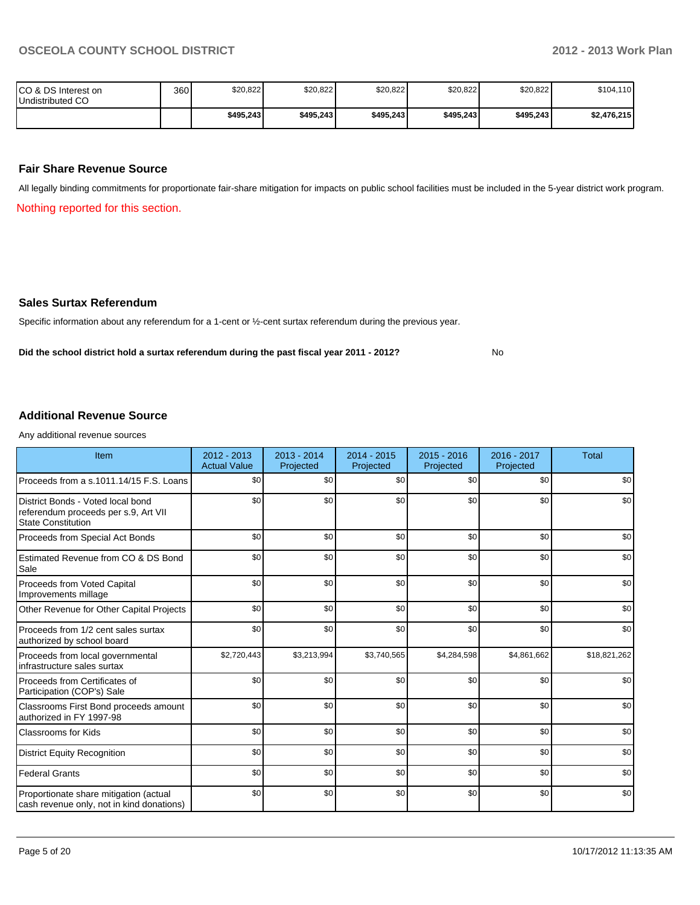No

| ICO & DS Interest on<br>Undistributed CO | 360 | \$20,822  | \$20,822  | \$20,822  | \$20,822  | \$20,822  | \$104,110   |
|------------------------------------------|-----|-----------|-----------|-----------|-----------|-----------|-------------|
|                                          |     | \$495.243 | \$495,243 | \$495,243 | \$495.243 | \$495,243 | \$2,476,215 |

#### **Fair Share Revenue Source**

All legally binding commitments for proportionate fair-share mitigation for impacts on public school facilities must be included in the 5-year district work program.

Nothing reported for this section.

#### **Sales Surtax Referendum**

Specific information about any referendum for a 1-cent or ½-cent surtax referendum during the previous year.

**Did the school district hold a surtax referendum during the past fiscal year 2011 - 2012?**

#### **Additional Revenue Source**

Any additional revenue sources

| Item                                                                                                   | $2012 - 2013$<br><b>Actual Value</b> | 2013 - 2014<br>Projected | 2014 - 2015<br>Projected | 2015 - 2016<br>Projected | 2016 - 2017<br>Projected | <b>Total</b> |
|--------------------------------------------------------------------------------------------------------|--------------------------------------|--------------------------|--------------------------|--------------------------|--------------------------|--------------|
| Proceeds from a s.1011.14/15 F.S. Loans                                                                | \$0                                  | \$0                      | \$0                      | \$0                      | \$0                      | \$0          |
| District Bonds - Voted local bond<br>referendum proceeds per s.9, Art VII<br><b>State Constitution</b> | \$0                                  | \$0                      | \$0                      | \$0                      | \$0                      | \$0          |
| Proceeds from Special Act Bonds                                                                        | \$0                                  | \$0                      | \$0                      | \$0                      | \$0                      | \$0          |
| Estimated Revenue from CO & DS Bond<br>Sale                                                            | \$0                                  | \$0                      | \$0                      | \$0                      | \$0                      | \$0          |
| Proceeds from Voted Capital<br>Improvements millage                                                    | \$0                                  | \$0                      | \$0                      | \$0                      | \$0                      | \$0          |
| Other Revenue for Other Capital Projects                                                               | \$0                                  | \$0                      | \$0                      | \$0                      | \$0                      | \$0          |
| Proceeds from 1/2 cent sales surtax<br>authorized by school board                                      | \$0                                  | \$0                      | \$0                      | \$0                      | \$0                      | \$0          |
| Proceeds from local governmental<br>infrastructure sales surtax                                        | \$2,720,443                          | \$3,213,994              | \$3,740,565              | \$4,284,598              | \$4,861,662              | \$18,821,262 |
| Proceeds from Certificates of<br>Participation (COP's) Sale                                            | \$0                                  | \$0                      | \$0                      | \$0                      | \$0                      | \$0          |
| Classrooms First Bond proceeds amount<br>authorized in FY 1997-98                                      | \$0                                  | \$0                      | \$0                      | \$0                      | \$0                      | \$0          |
| <b>Classrooms for Kids</b>                                                                             | \$0                                  | \$0                      | \$0                      | \$0                      | \$0                      | \$0          |
| <b>District Equity Recognition</b>                                                                     | \$0                                  | \$0                      | \$0                      | \$0                      | \$0                      | \$0          |
| <b>Federal Grants</b>                                                                                  | \$0                                  | \$0                      | \$0                      | \$0                      | \$0                      | \$0          |
| Proportionate share mitigation (actual<br>cash revenue only, not in kind donations)                    | \$0                                  | \$0                      | \$0                      | \$0                      | \$0                      | \$0          |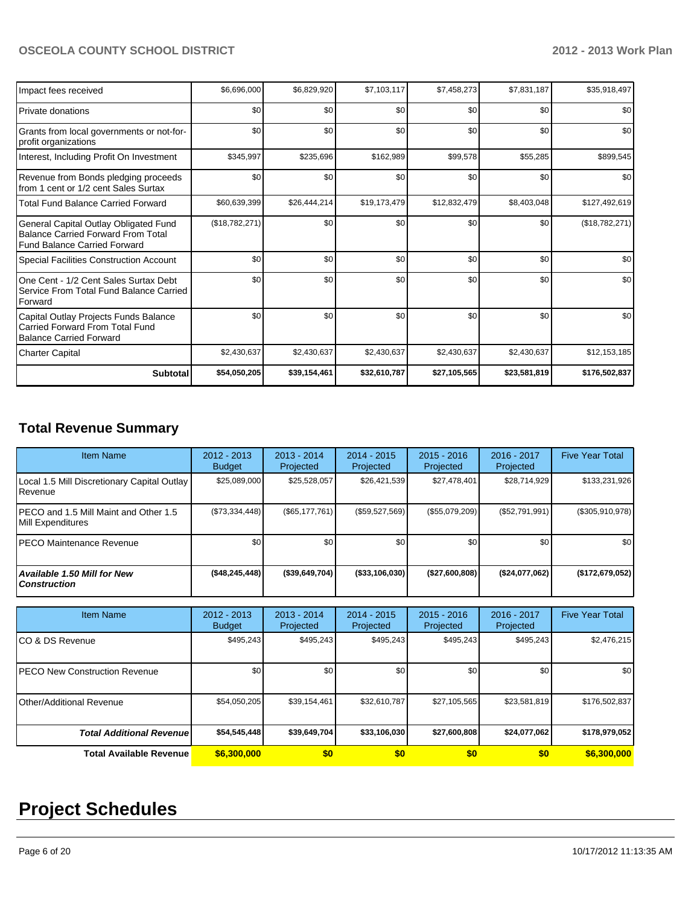| Impact fees received                                                                                                      | \$6,696,000    | \$6,829,920  | \$7,103,117  | \$7,458,273  | \$7,831,187  | \$35,918,497   |
|---------------------------------------------------------------------------------------------------------------------------|----------------|--------------|--------------|--------------|--------------|----------------|
| l Private donations                                                                                                       | \$0            | \$0          | \$0          | \$0          | \$0          | \$0            |
| Grants from local governments or not-for-<br>profit organizations                                                         | \$0            | \$0          | \$0          | \$0          | \$0          | \$0            |
| Interest, Including Profit On Investment                                                                                  | \$345,997      | \$235,696    | \$162,989    | \$99,578     | \$55,285     | \$899,545      |
| Revenue from Bonds pledging proceeds<br>from 1 cent or 1/2 cent Sales Surtax                                              | \$0            | \$0          | \$0          | \$0          | \$0          | \$0            |
| Total Fund Balance Carried Forward                                                                                        | \$60,639,399   | \$26,444,214 | \$19,173,479 | \$12,832,479 | \$8,403,048  | \$127,492,619  |
| General Capital Outlay Obligated Fund<br><b>Balance Carried Forward From Total</b><br><b>Fund Balance Carried Forward</b> | (\$18,782,271) | \$0          | \$0          | \$0          | \$0          | (\$18,782,271) |
| Special Facilities Construction Account                                                                                   | \$0            | \$0          | \$0          | \$0          | \$0          | \$0            |
| One Cent - 1/2 Cent Sales Surtax Debt<br>Service From Total Fund Balance Carried<br>Forward                               | \$0            | \$0          | \$0          | \$0          | \$0          | \$0            |
| Capital Outlay Projects Funds Balance<br>Carried Forward From Total Fund<br><b>Balance Carried Forward</b>                | \$0            | \$0          | \$0          | \$0          | \$0          | \$0            |
| <b>Charter Capital</b>                                                                                                    | \$2,430,637    | \$2,430,637  | \$2,430,637  | \$2,430,637  | \$2,430,637  | \$12,153,185   |
| <b>Subtotal</b>                                                                                                           | \$54,050,205   | \$39,154,461 | \$32,610,787 | \$27,105,565 | \$23,581,819 | \$176,502,837  |

## **Total Revenue Summary**

| <b>Item Name</b>                                            | $2012 - 2013$<br><b>Budget</b> | $2013 - 2014$<br>Projected | $2014 - 2015$<br>Projected | $2015 - 2016$<br>Projected | $2016 - 2017$<br>Projected | <b>Five Year Total</b> |
|-------------------------------------------------------------|--------------------------------|----------------------------|----------------------------|----------------------------|----------------------------|------------------------|
| Local 1.5 Mill Discretionary Capital Outlay<br>Revenue      | \$25,089,000                   | \$25,528,057               | \$26,421,539               | \$27,478,401               | \$28,714,929               | \$133,231,926          |
| IPECO and 1.5 Mill Maint and Other 1.5<br>Mill Expenditures | (S73, 334, 448)                | (S65, 177, 761)            | (\$59,527,569)             | (\$55,079,209)             | (S52,791,991)              | $(\$305,910,978)$      |
| IPECO Maintenance Revenue                                   | \$0                            | \$0                        | \$0                        | \$0                        | \$0 <sub>0</sub>           | \$0 <sub>1</sub>       |
| Available 1.50 Mill for New<br><b>Construction</b>          | (\$48, 245, 448)               | (\$39,649,704)             | ( \$33, 106, 030)          | (\$27,600,808)             | (\$24,077,062)             | (\$172,679,052)        |

| <b>Item Name</b>                      | $2012 - 2013$<br><b>Budget</b> | 2013 - 2014<br>Projected | $2014 - 2015$<br><b>Projected</b> | $2015 - 2016$<br>Projected | 2016 - 2017<br>Projected | <b>Five Year Total</b> |
|---------------------------------------|--------------------------------|--------------------------|-----------------------------------|----------------------------|--------------------------|------------------------|
| ICO & DS Revenue                      | \$495,243                      | \$495,243                | \$495,243                         | \$495,243                  | \$495,243                | \$2,476,215            |
| <b>IPECO New Construction Revenue</b> | \$0                            | \$0                      | \$0                               | \$0                        | \$0                      | \$0                    |
| IOther/Additional Revenue             | \$54,050,205                   | \$39,154,461             | \$32,610,787                      | \$27,105,565               | \$23,581,819             | \$176,502,837          |
| <b>Total Additional Revenue</b>       | \$54,545,448                   | \$39,649,704             | \$33,106,030                      | \$27,600,808               | \$24,077,062             | \$178,979,052          |
| <b>Total Available Revenue</b>        | \$6,300,000                    | \$0                      | \$0                               | \$0                        | \$0                      | \$6,300,000            |

# **Project Schedules**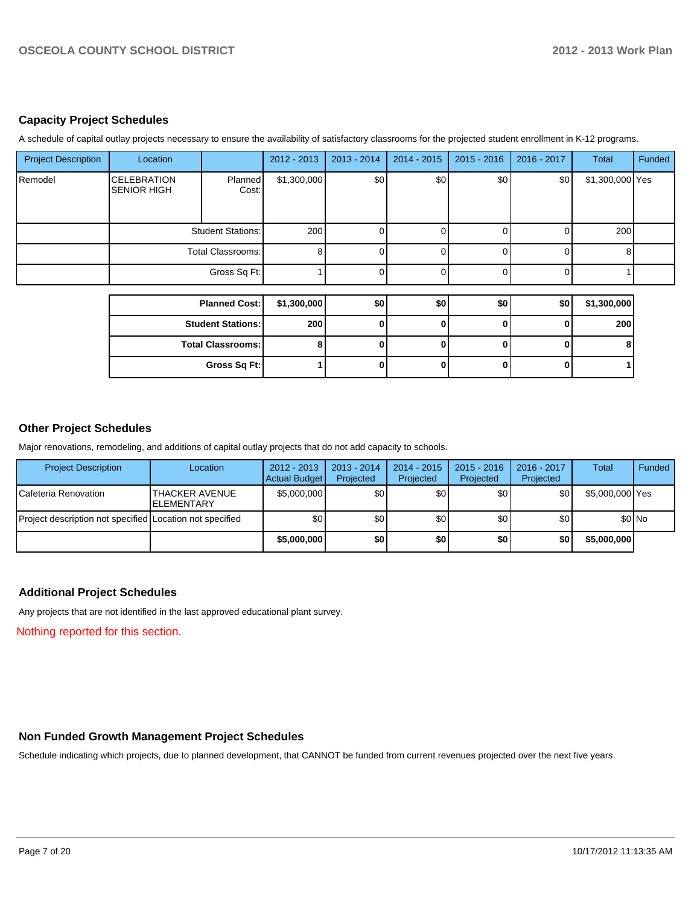#### **Capacity Project Schedules**

A schedule of capital outlay projects necessary to ensure the availability of satisfactory classrooms for the projected student enrollment in K-12 programs.

| <b>Project Description</b> | Location                                 |                          | 2012 - 2013 | 2013 - 2014 | $2014 - 2015$ | $2015 - 2016$ | 2016 - 2017 | Total           | Funded |
|----------------------------|------------------------------------------|--------------------------|-------------|-------------|---------------|---------------|-------------|-----------------|--------|
| Remodel                    | <b>CELEBRATION</b><br><b>SENIOR HIGH</b> | <b>Planned</b><br>Cost:  | \$1,300,000 | \$0         | \$0           | \$0           | \$0]        | \$1,300,000 Yes |        |
|                            |                                          | <b>Student Stations:</b> | 200         |             |               |               | $\Omega$    | 200             |        |
|                            |                                          | Total Classrooms:        | 8           |             |               |               | $\Omega$    | 8               |        |
|                            |                                          | Gross Sq Ft:             |             |             |               |               | $\Omega$    |                 |        |
|                            |                                          | <b>Planned Cost:</b>     | \$1,300,000 | \$0         | \$0           | \$0           |             |                 |        |
|                            |                                          |                          |             |             |               |               | \$0         | \$1,300,000     |        |
|                            |                                          | <b>Student Stations:</b> | 200         |             | $\Omega$      | ŋ             | 0           | 200             |        |
|                            |                                          | <b>Total Classrooms:</b> | 8           | n           | ŋ             | U             | $\Omega$    | 8               |        |
|                            |                                          | Gross Sq Ft:             |             | 0           | 0             | 0             | 0           |                 |        |

#### **Other Project Schedules**

Major renovations, remodeling, and additions of capital outlay projects that do not add capacity to schools.

| <b>Project Description</b>                               | Location                                     | $2012 - 2013$<br>Actual Budget | $2013 - 2014$<br>Projected | 2014 - 2015<br>Projected | $2015 - 2016$<br>Projected | 2016 - 2017<br>Projected | <b>Total</b>    | Funded |
|----------------------------------------------------------|----------------------------------------------|--------------------------------|----------------------------|--------------------------|----------------------------|--------------------------|-----------------|--------|
| ICafeteria Renovation                                    | <b>ITHACKER AVENUE</b><br><b>IELEMENTARY</b> | \$5,000,000                    | \$0l                       | \$0                      | \$0                        | \$0                      | \$5,000,000 Yes |        |
| Project description not specified Location not specified |                                              | \$0                            | \$0                        | \$0                      | \$0                        | \$0                      |                 | \$0 No |
|                                                          |                                              | \$5,000,000                    | \$0                        | \$0                      | \$0                        | \$0                      | \$5,000,000     |        |

#### **Additional Project Schedules**

Any projects that are not identified in the last approved educational plant survey.

Nothing reported for this section.

#### **Non Funded Growth Management Project Schedules**

Schedule indicating which projects, due to planned development, that CANNOT be funded from current revenues projected over the next five years.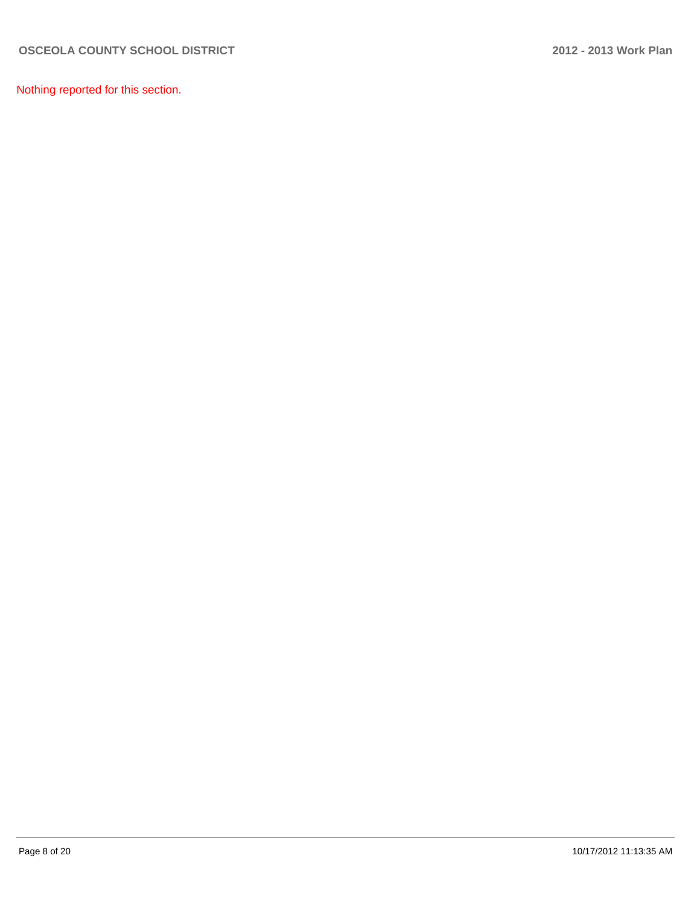Nothing reported for this section.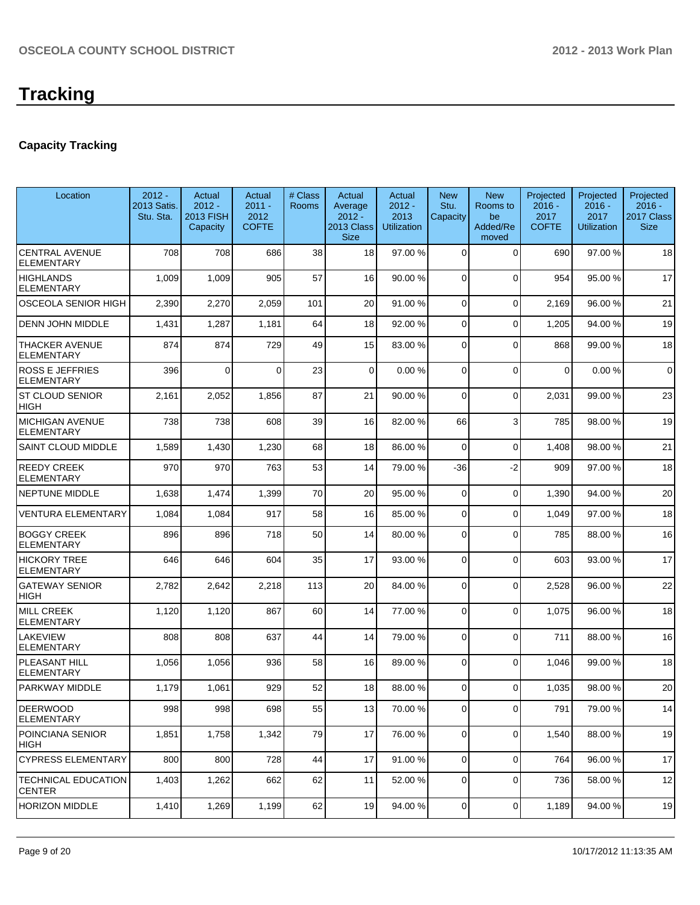### **Capacity Tracking**

| Location                                    | $2012 -$<br>2013 Satis.<br>Stu. Sta. | Actual<br>$2012 -$<br>2013 FISH<br>Capacity | Actual<br>$2011 -$<br>2012<br><b>COFTE</b> | # Class<br><b>Rooms</b> | Actual<br>Average<br>$2012 -$<br>2013 Class<br><b>Size</b> | Actual<br>$2012 -$<br>2013<br><b>Utilization</b> | <b>New</b><br>Stu.<br>Capacity | <b>New</b><br>Rooms to<br>be<br>Added/Re<br>moved | Projected<br>$2016 -$<br>2017<br><b>COFTE</b> | Projected<br>$2016 -$<br>2017<br><b>Utilization</b> | Projected<br>$2016 -$<br>2017 Class<br><b>Size</b> |
|---------------------------------------------|--------------------------------------|---------------------------------------------|--------------------------------------------|-------------------------|------------------------------------------------------------|--------------------------------------------------|--------------------------------|---------------------------------------------------|-----------------------------------------------|-----------------------------------------------------|----------------------------------------------------|
| <b>CENTRAL AVENUE</b><br><b>ELEMENTARY</b>  | 708                                  | 708                                         | 686                                        | 38                      | 18                                                         | 97.00 %                                          | $\Omega$                       | $\Omega$                                          | 690                                           | 97.00 %                                             | 18                                                 |
| HIGHLANDS<br><b>ELEMENTARY</b>              | 1,009                                | 1,009                                       | 905                                        | 57                      | 16                                                         | 90.00 %                                          | 0                              | $\Omega$                                          | 954                                           | 95.00 %                                             | 17                                                 |
| <b>OSCEOLA SENIOR HIGH</b>                  | 2,390                                | 2,270                                       | 2,059                                      | 101                     | 20                                                         | 91.00 %                                          | $\Omega$                       | $\Omega$                                          | 2,169                                         | 96.00%                                              | 21                                                 |
| <b>DENN JOHN MIDDLE</b>                     | 1,431                                | 1,287                                       | 1,181                                      | 64                      | 18                                                         | 92.00 %                                          | $\Omega$                       | $\Omega$                                          | 1,205                                         | 94.00%                                              | 19                                                 |
| <b>THACKER AVENUE</b><br><b>ELEMENTARY</b>  | 874                                  | 874                                         | 729                                        | 49                      | 15                                                         | 83.00 %                                          | $\Omega$                       | $\Omega$                                          | 868                                           | 99.00 %                                             | 18                                                 |
| <b>ROSS E JEFFRIES</b><br><b>ELEMENTARY</b> | 396                                  | $\Omega$                                    | $\Omega$                                   | 23                      | $\mathbf 0$                                                | 0.00%                                            | $\overline{0}$                 | $\Omega$                                          | 0                                             | 0.00%                                               | $\Omega$                                           |
| <b>ST CLOUD SENIOR</b><br><b>HIGH</b>       | 2,161                                | 2,052                                       | 1,856                                      | 87                      | 21                                                         | 90.00 %                                          | $\Omega$                       | $\Omega$                                          | 2,031                                         | 99.00 %                                             | 23                                                 |
| <b>MICHIGAN AVENUE</b><br><b>ELEMENTARY</b> | 738                                  | 738                                         | 608                                        | 39                      | 16                                                         | 82.00 %                                          | 66                             | 3                                                 | 785                                           | 98.00 %                                             | 19                                                 |
| SAINT CLOUD MIDDLE                          | 1,589                                | 1,430                                       | 1,230                                      | 68                      | 18                                                         | 86.00 %                                          | $\Omega$                       | $\Omega$                                          | 1,408                                         | 98.00 %                                             | 21                                                 |
| <b>REEDY CREEK</b><br><b>ELEMENTARY</b>     | 970                                  | 970                                         | 763                                        | 53                      | 14                                                         | 79.00 %                                          | $-36$                          | $-2$                                              | 909                                           | 97.00 %                                             | 18                                                 |
| <b>NEPTUNE MIDDLE</b>                       | 1,638                                | 1,474                                       | 1,399                                      | 70                      | 20                                                         | 95.00 %                                          | 0                              | $\Omega$                                          | 1,390                                         | 94.00%                                              | 20                                                 |
| VENTURA ELEMENTARY                          | 1,084                                | 1,084                                       | 917                                        | 58                      | 16                                                         | 85.00 %                                          | $\overline{0}$                 | $\Omega$                                          | 1,049                                         | 97.00%                                              | 18                                                 |
| <b>BOGGY CREEK</b><br><b>ELEMENTARY</b>     | 896                                  | 896                                         | 718                                        | 50                      | 14                                                         | 80.00 %                                          | $\overline{0}$                 | $\Omega$                                          | 785                                           | 88.00 %                                             | 16                                                 |
| <b>HICKORY TREE</b><br><b>ELEMENTARY</b>    | 646                                  | 646                                         | 604                                        | 35                      | 17                                                         | 93.00 %                                          | 0                              | $\Omega$                                          | 603                                           | 93.00 %                                             | 17                                                 |
| <b>GATEWAY SENIOR</b><br>HIGH               | 2,782                                | 2,642                                       | 2,218                                      | 113                     | 20                                                         | 84.00 %                                          | 0                              | $\Omega$                                          | 2,528                                         | 96.00%                                              | 22                                                 |
| <b>MILL CREEK</b><br><b>ELEMENTARY</b>      | 1,120                                | 1,120                                       | 867                                        | 60                      | 14                                                         | 77.00 %                                          | $\Omega$                       | $\Omega$                                          | 1,075                                         | 96.00%                                              | 18                                                 |
| LAKEVIEW<br>ELEMENTARY                      | 808                                  | 808                                         | 637                                        | 44                      | 14                                                         | 79.00 %                                          | $\overline{0}$                 | $\Omega$                                          | 711                                           | 88.00 %                                             | 16                                                 |
| PLEASANT HILL<br>ELEMENTARY                 | 1,056                                | 1,056                                       | 936                                        | 58                      | 16                                                         | 89.00 %                                          | 0                              | $\Omega$                                          | 1,046                                         | 99.00%                                              | 18                                                 |
| PARKWAY MIDDLE                              | 1,179                                | 1,061                                       | 929                                        | 52                      | 18                                                         | 88.00 %                                          | 0                              | $\Omega$                                          | 1,035                                         | 98.00%                                              | 20                                                 |
| <b>DEERWOOD</b><br><b>ELEMENTARY</b>        | 998                                  | 998                                         | 698                                        | 55                      | 13                                                         | 70.00 %                                          | $\overline{0}$                 | $\overline{0}$                                    | 791                                           | 79.00 %                                             | 14                                                 |
| POINCIANA SENIOR<br>HIGH                    | 1,851                                | 1,758                                       | 1,342                                      | 79                      | 17                                                         | 76.00 %                                          | $\overline{0}$                 | $\overline{0}$                                    | 1,540                                         | 88.00 %                                             | 19                                                 |
| <b>CYPRESS ELEMENTARY</b>                   | 800                                  | 800                                         | 728                                        | 44                      | 17                                                         | 91.00 %                                          | $\overline{0}$                 | $\overline{0}$                                    | 764                                           | 96.00 %                                             | 17                                                 |
| <b>TECHNICAL EDUCATION</b><br>CENTER        | 1,403                                | 1,262                                       | 662                                        | 62                      | 11                                                         | 52.00 %                                          | $\overline{0}$                 | $\overline{0}$                                    | 736                                           | 58.00 %                                             | 12                                                 |
| <b>HORIZON MIDDLE</b>                       | 1,410                                | 1,269                                       | 1,199                                      | 62                      | 19                                                         | 94.00 %                                          | $\overline{0}$                 | $\overline{0}$                                    | 1,189                                         | 94.00 %                                             | 19                                                 |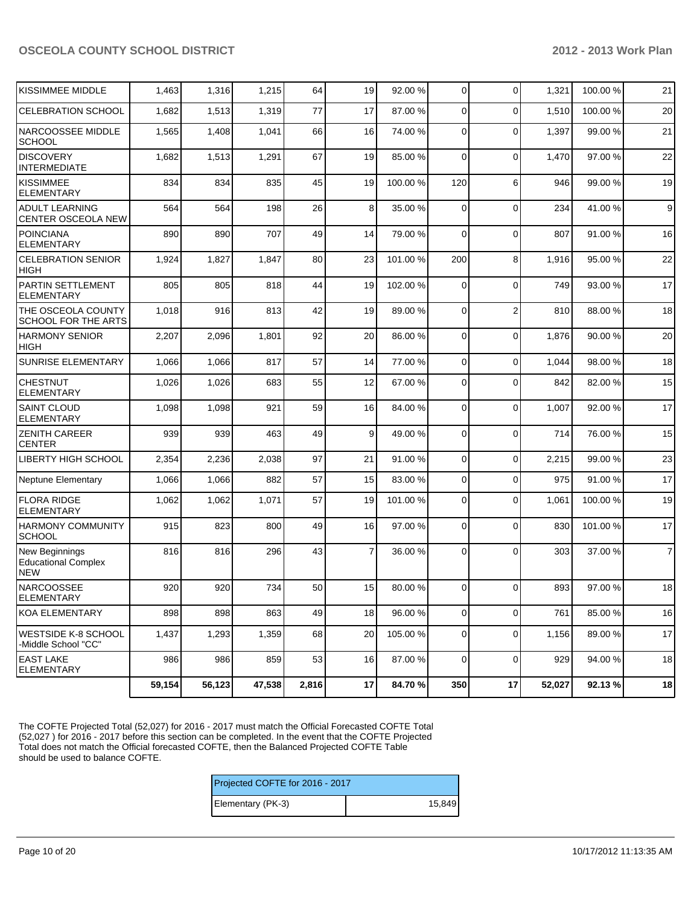| KISSIMMEE MIDDLE                                           | 1,463  | 1,316  | 1,215  | 64    | 19             | 92.00 %  | $\overline{0}$ | $\mathbf 0$    | 1,321  | 100.00% | 21             |
|------------------------------------------------------------|--------|--------|--------|-------|----------------|----------|----------------|----------------|--------|---------|----------------|
| <b>CELEBRATION SCHOOL</b>                                  | 1,682  | 1,513  | 1,319  | 77    | 17             | 87.00 %  | $\Omega$       | $\Omega$       | 1,510  | 100.00% | 20             |
| NARCOOSSEE MIDDLE<br><b>SCHOOL</b>                         | 1,565  | 1,408  | 1,041  | 66    | 16             | 74.00 %  | $\Omega$       | $\Omega$       | 1,397  | 99.00 % | 21             |
| <b>DISCOVERY</b><br><b>INTERMEDIATE</b>                    | 1,682  | 1,513  | 1,291  | 67    | 19             | 85.00 %  | $\Omega$       | $\mathbf 0$    | 1,470  | 97.00 % | 22             |
| KISSIMMEE<br><b>ELEMENTARY</b>                             | 834    | 834    | 835    | 45    | 19             | 100.00 % | 120            | 6              | 946    | 99.00 % | 19             |
| <b>ADULT LEARNING</b><br>CENTER OSCEOLA NEW                | 564    | 564    | 198    | 26    | 8              | 35.00 %  | $\mathbf{0}$   | $\mathbf 0$    | 234    | 41.00%  | $\mathsf g$    |
| <b>POINCIANA</b><br><b>ELEMENTARY</b>                      | 890    | 890    | 707    | 49    | 14             | 79.00 %  | $\Omega$       | $\Omega$       | 807    | 91.00%  | 16             |
| <b>CELEBRATION SENIOR</b><br><b>HIGH</b>                   | 1,924  | 1,827  | 1,847  | 80    | 23             | 101.00 % | 200            | 8              | 1,916  | 95.00 % | 22             |
| PARTIN SETTLEMENT<br><b>ELEMENTARY</b>                     | 805    | 805    | 818    | 44    | 19             | 102.00 % | $\Omega$       | $\Omega$       | 749    | 93.00 % | 17             |
| THE OSCEOLA COUNTY<br>SCHOOL FOR THE ARTS                  | 1,018  | 916    | 813    | 42    | 19             | 89.00 %  | $\Omega$       | $\overline{2}$ | 810    | 88.00 % | 18             |
| <b>HARMONY SENIOR</b><br><b>HIGH</b>                       | 2,207  | 2,096  | 1,801  | 92    | 20             | 86.00 %  | $\Omega$       | $\mathbf 0$    | 1,876  | 90.00%  | 20             |
| <b>SUNRISE ELEMENTARY</b>                                  | 1,066  | 1,066  | 817    | 57    | 14             | 77.00 %  | $\Omega$       | $\mathbf 0$    | 1,044  | 98.00 % | 18             |
| <b>CHESTNUT</b><br><b>ELEMENTARY</b>                       | 1,026  | 1,026  | 683    | 55    | 12             | 67.00 %  | $\Omega$       | $\Omega$       | 842    | 82.00%  | 15             |
| <b>SAINT CLOUD</b><br><b>ELEMENTARY</b>                    | 1,098  | 1,098  | 921    | 59    | 16             | 84.00 %  | $\Omega$       | $\Omega$       | 1,007  | 92.00%  | 17             |
| <b>ZENITH CAREER</b><br><b>CENTER</b>                      | 939    | 939    | 463    | 49    | 9              | 49.00 %  | $\Omega$       | $\Omega$       | 714    | 76.00 % | 15             |
| <b>LIBERTY HIGH SCHOOL</b>                                 | 2,354  | 2,236  | 2,038  | 97    | 21             | 91.00 %  | $\Omega$       | $\mathbf 0$    | 2,215  | 99.00%  | 23             |
| <b>Neptune Elementary</b>                                  | 1,066  | 1,066  | 882    | 57    | 15             | 83.00 %  | $\Omega$       | $\mathbf 0$    | 975    | 91.00%  | 17             |
| <b>FLORA RIDGE</b><br><b>ELEMENTARY</b>                    | 1,062  | 1,062  | 1,071  | 57    | 19             | 101.00 % | $\Omega$       | $\Omega$       | 1,061  | 100.00% | 19             |
| <b>HARMONY COMMUNITY</b><br><b>SCHOOL</b>                  | 915    | 823    | 800    | 49    | 16             | 97.00 %  | $\overline{0}$ | $\mathbf 0$    | 830    | 101.00% | 17             |
| New Beginnings<br><b>Educational Complex</b><br><b>NEW</b> | 816    | 816    | 296    | 43    | $\overline{7}$ | 36.00 %  | $\Omega$       | $\Omega$       | 303    | 37.00 % | $\overline{7}$ |
| <b>NARCOOSSEE</b><br> ELEMENTARY                           | 920    | 920    | 734    | 50    | 15             | 80.00 %  | $\overline{0}$ | $\mathbf 0$    | 893    | 97.00 % | 18             |
| KOA ELEMENTARY                                             | 898    | 898    | 863    | 49    | 18             | 96.00 %  | $\overline{0}$ | $\mathbf 0$    | 761    | 85.00%  | 16             |
| <b>WESTSIDE K-8 SCHOOL</b><br>-Middle School "CC"          | 1,437  | 1,293  | 1,359  | 68    | 20             | 105.00 % | $\overline{0}$ | $\mathbf 0$    | 1,156  | 89.00%  | 17             |
| <b>EAST LAKE</b><br><b>ELEMENTARY</b>                      | 986    | 986    | 859    | 53    | 16             | 87.00 %  | 0              | $\mathbf 0$    | 929    | 94.00 % | 18             |
|                                                            | 59,154 | 56,123 | 47,538 | 2,816 | 17             | 84.70 %  | 350            | 17             | 52,027 | 92.13%  | 18             |

The COFTE Projected Total (52,027) for 2016 - 2017 must match the Official Forecasted COFTE Total (52,027 ) for 2016 - 2017 before this section can be completed. In the event that the COFTE Projected Total does not match the Official forecasted COFTE, then the Balanced Projected COFTE Table should be used to balance COFTE.

| Projected COFTE for 2016 - 2017 |        |  |  |  |  |
|---------------------------------|--------|--|--|--|--|
| Elementary (PK-3)               | 15.849 |  |  |  |  |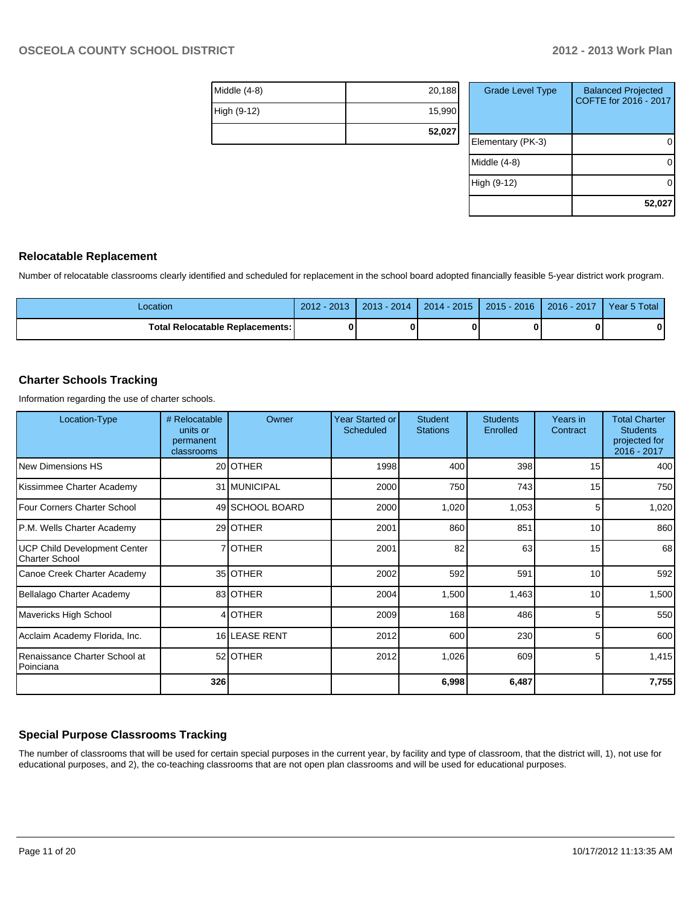| Middle $(4-8)$ | 20,188 |
|----------------|--------|
| High (9-12)    | 15,990 |
|                | 52,027 |

| <b>Grade Level Type</b> | <b>Balanced Projected</b><br>COFTE for 2016 - 2017 |
|-------------------------|----------------------------------------------------|
| Elementary (PK-3)       |                                                    |
| Middle (4-8)            |                                                    |
| High (9-12)             |                                                    |
|                         | 52,027                                             |

#### **Relocatable Replacement**

Number of relocatable classrooms clearly identified and scheduled for replacement in the school board adopted financially feasible 5-year district work program.

| -ocation                          | $-2013$<br>2012 | $2013 - 2014$ | $2014 - 2015$ | 2015 - 2016 | 2016 - 2017 | 5 Total<br>Year 5 |
|-----------------------------------|-----------------|---------------|---------------|-------------|-------------|-------------------|
| Total Relocatable Replacements: I | 0               |               |               |             |             |                   |

#### **Charter Schools Tracking**

Information regarding the use of charter schools.

| Location-Type                                         | # Relocatable<br>units or<br>permanent<br>classrooms | Owner           | Year Started or<br><b>Scheduled</b> | <b>Student</b><br><b>Stations</b> | <b>Students</b><br>Enrolled | Years in<br>Contract | <b>Total Charter</b><br><b>Students</b><br>projected for<br>2016 - 2017 |
|-------------------------------------------------------|------------------------------------------------------|-----------------|-------------------------------------|-----------------------------------|-----------------------------|----------------------|-------------------------------------------------------------------------|
| New Dimensions HS                                     |                                                      | 20 OTHER        | 1998                                | 400                               | 398                         | 15                   | 400                                                                     |
| Kissimmee Charter Academy                             |                                                      | 31 MUNICIPAL    | 2000                                | 750                               | 743                         | 15                   | 750                                                                     |
| Four Corners Charter School                           |                                                      | 49 SCHOOL BOARD | 2000                                | 1,020                             | 1,053                       | 5                    | 1,020                                                                   |
| P.M. Wells Charter Academy                            |                                                      | 29 OTHER        | 2001                                | 860                               | 851                         | 10                   | 860                                                                     |
| UCP Child Development Center<br><b>Charter School</b> |                                                      | 7 OTHER         | 2001                                | 82                                | 63                          | 15                   | 68                                                                      |
| Canoe Creek Charter Academy                           |                                                      | 35 OTHER        | 2002                                | 592                               | 591                         | 10                   | 592                                                                     |
| Bellalago Charter Academy                             |                                                      | 83 OTHER        | 2004                                | 1,500                             | 1,463                       | 10                   | 1,500                                                                   |
| Mavericks High School                                 |                                                      | 4 OTHER         | 2009                                | 168                               | 486                         | 5                    | 550                                                                     |
| Acclaim Academy Florida, Inc.                         |                                                      | 16 LEASE RENT   | 2012                                | 600                               | 230                         | 5                    | 600                                                                     |
| Renaissance Charter School at<br>Poinciana            |                                                      | 52 OTHER        | 2012                                | 1,026                             | 609                         | 5                    | 1,415                                                                   |
|                                                       | 326                                                  |                 |                                     | 6,998                             | 6,487                       |                      | 7,755                                                                   |

#### **Special Purpose Classrooms Tracking**

The number of classrooms that will be used for certain special purposes in the current year, by facility and type of classroom, that the district will, 1), not use for educational purposes, and 2), the co-teaching classrooms that are not open plan classrooms and will be used for educational purposes.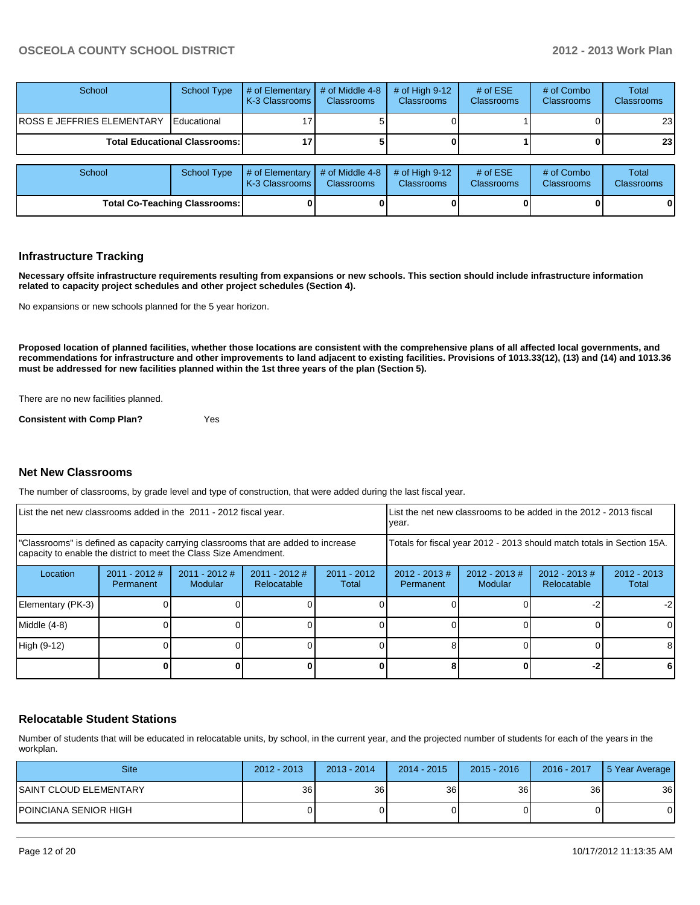| School                                 | <b>School Type</b>   | # of Elementary<br><b>I</b> K-3 Classrooms I | # of Middle 4-8<br><b>Classrooms</b> | # of High $9-12$<br><b>Classrooms</b> | # of $ESE$<br><b>Classrooms</b> | # of Combo<br><b>Classrooms</b> | Total<br><b>Classrooms</b> |
|----------------------------------------|----------------------|----------------------------------------------|--------------------------------------|---------------------------------------|---------------------------------|---------------------------------|----------------------------|
| <b>ROSS E JEFFRIES ELEMENTARY</b>      | <b>I</b> Educational |                                              |                                      |                                       |                                 |                                 | 23 I                       |
| <b>Total Educational Classrooms: I</b> |                      |                                              |                                      |                                       |                                 |                                 | 23 <sup>1</sup>            |
|                                        |                      |                                              |                                      |                                       |                                 |                                 |                            |
| School                                 | <b>School Type</b>   | # of Elementary<br><b>K-3 Classrooms I</b>   | # of Middle 4-8<br><b>Classrooms</b> | # of High $9-12$<br><b>Classrooms</b> | # of $ESE$<br><b>Classrooms</b> | # of Combo<br>Classrooms        | Total<br>Classrooms        |

**Total Co-Teaching Classrooms: 0 0 0 0 0 0**

#### **Infrastructure Tracking**

**Necessary offsite infrastructure requirements resulting from expansions or new schools. This section should include infrastructure information related to capacity project schedules and other project schedules (Section 4).**

No expansions or new schools planned for the 5 year horizon.

**Proposed location of planned facilities, whether those locations are consistent with the comprehensive plans of all affected local governments, and recommendations for infrastructure and other improvements to land adjacent to existing facilities. Provisions of 1013.33(12), (13) and (14) and 1013.36 must be addressed for new facilities planned within the 1st three years of the plan (Section 5).**

There are no new facilities planned.

**Consistent with Comp Plan?** Yes

#### **Net New Classrooms**

The number of classrooms, by grade level and type of construction, that were added during the last fiscal year.

| List the net new classrooms added in the 2011 - 2012 fiscal year. |                              |                                                                                                                                                         |                                | Llist the net new classrooms to be added in the 2012 - 2013 fiscal<br>Ivear. |                                                                        |                                   |                                |                        |
|-------------------------------------------------------------------|------------------------------|---------------------------------------------------------------------------------------------------------------------------------------------------------|--------------------------------|------------------------------------------------------------------------------|------------------------------------------------------------------------|-----------------------------------|--------------------------------|------------------------|
|                                                                   |                              | "Classrooms" is defined as capacity carrying classrooms that are added to increase<br>capacity to enable the district to meet the Class Size Amendment. |                                |                                                                              | Totals for fiscal year 2012 - 2013 should match totals in Section 15A. |                                   |                                |                        |
| Location                                                          | $2011 - 2012$ #<br>Permanent | 2011 - 2012 #<br><b>Modular</b>                                                                                                                         | $2011 - 2012$ #<br>Relocatable | $2011 - 2012$<br>Total                                                       | $2012 - 2013$ #<br>Permanent                                           | $2012 - 2013$ #<br><b>Modular</b> | $2012 - 2013$ #<br>Relocatable | $2012 - 2013$<br>Total |
| Elementary (PK-3)                                                 |                              |                                                                                                                                                         |                                |                                                                              |                                                                        |                                   |                                | $-2$                   |
| Middle (4-8)                                                      |                              |                                                                                                                                                         |                                |                                                                              |                                                                        |                                   |                                | $\Omega$               |
| High (9-12)                                                       |                              |                                                                                                                                                         |                                |                                                                              |                                                                        |                                   |                                | 8                      |
|                                                                   |                              |                                                                                                                                                         |                                |                                                                              |                                                                        |                                   |                                | 6                      |

#### **Relocatable Student Stations**

Number of students that will be educated in relocatable units, by school, in the current year, and the projected number of students for each of the years in the workplan.

| <b>Site</b>             | $2012 - 2013$ | 2013 - 2014 | $2014 - 2015$ | $2015 - 2016$ | 2016 - 2017 | 5 Year Average |
|-------------------------|---------------|-------------|---------------|---------------|-------------|----------------|
| ISAINT CLOUD ELEMENTARY | 36            | 36 I        | 36            | 36            | 36          | 36             |
| POINCIANA SENIOR HIGH   |               |             |               |               |             |                |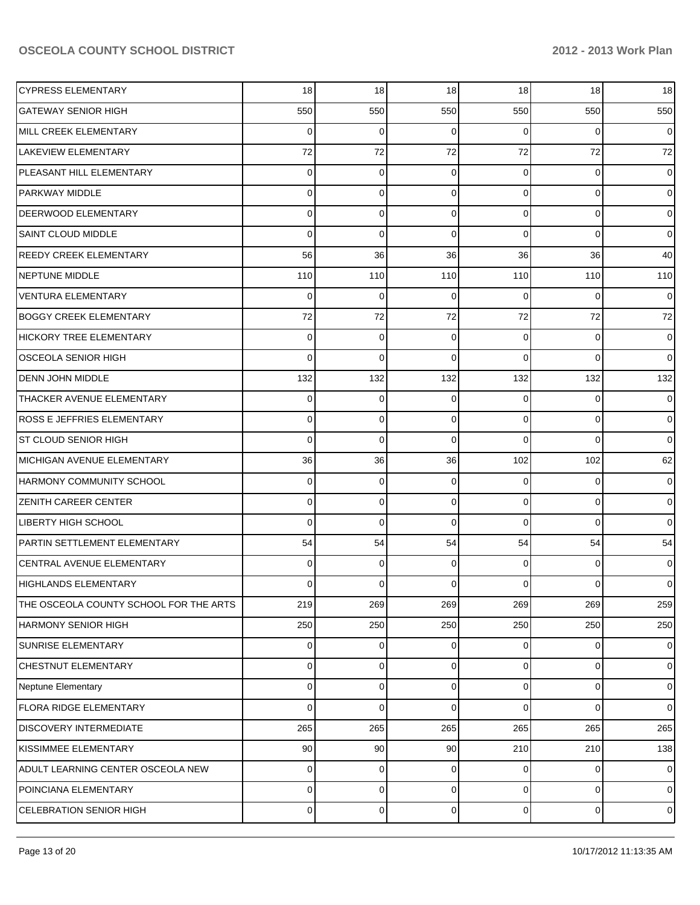| <b>CYPRESS ELEMENTARY</b>              | 18       | 18             | 18          | 18             | 18             | 18             |
|----------------------------------------|----------|----------------|-------------|----------------|----------------|----------------|
| <b>GATEWAY SENIOR HIGH</b>             | 550      | 550            | 550         | 550            | 550            | 550            |
| MILL CREEK ELEMENTARY                  | $\Omega$ | $\Omega$       | $\Omega$    | 0              | $\Omega$       | $\overline{0}$ |
| <b>LAKEVIEW ELEMENTARY</b>             | 72       | 72             | 72          | 72             | 72             | 72             |
| PLEASANT HILL ELEMENTARY               | $\Omega$ | $\Omega$       | $\Omega$    | $\Omega$       | $\overline{0}$ | $\mathbf 0$    |
| <b>PARKWAY MIDDLE</b>                  | $\Omega$ | $\Omega$       | $\Omega$    | $\Omega$       | $\overline{0}$ | $\overline{0}$ |
| <b>DEERWOOD ELEMENTARY</b>             | $\Omega$ | $\Omega$       | $\Omega$    | $\Omega$       | $\overline{0}$ | $\overline{0}$ |
| <b>SAINT CLOUD MIDDLE</b>              | $\Omega$ | $\Omega$       | $\Omega$    | $\Omega$       | $\overline{0}$ | $\overline{0}$ |
| <b>REEDY CREEK ELEMENTARY</b>          | 56       | 36             | 36          | 36             | 36             | 40             |
| <b>NEPTUNE MIDDLE</b>                  | 110      | 110            | 110         | 110            | 110            | 110            |
| <b>VENTURA ELEMENTARY</b>              | $\Omega$ | $\Omega$       | $\Omega$    | 0              | $\Omega$       | $\overline{0}$ |
| <b>BOGGY CREEK ELEMENTARY</b>          | 72       | 72             | 72          | 72             | 72             | 72             |
| HICKORY TREE ELEMENTARY                | 0        | $\Omega$       | $\Omega$    | $\Omega$       | $\overline{0}$ | $\overline{0}$ |
| <b>OSCEOLA SENIOR HIGH</b>             | $\Omega$ | $\Omega$       | $\Omega$    | $\Omega$       | $\Omega$       | $\overline{0}$ |
| <b>DENN JOHN MIDDLE</b>                | 132      | 132            | 132         | 132            | 132            | 132            |
| <b>THACKER AVENUE ELEMENTARY</b>       | $\Omega$ | 0              | $\Omega$    | $\Omega$       | $\overline{0}$ | $\mathbf 0$    |
| <b>ROSS E JEFFRIES ELEMENTARY</b>      | $\Omega$ | $\Omega$       | $\Omega$    | $\Omega$       | $\Omega$       | $\overline{0}$ |
| <b>ST CLOUD SENIOR HIGH</b>            | $\Omega$ | $\Omega$       | $\Omega$    | $\Omega$       | $\Omega$       | $\overline{0}$ |
| MICHIGAN AVENUE ELEMENTARY             | 36       | 36             | 36          | 102            | 102            | 62             |
| <b>HARMONY COMMUNITY SCHOOL</b>        | 0        | $\mathbf 0$    | $\Omega$    | $\Omega$       | $\overline{0}$ | $\mathbf 0$    |
| <b>ZENITH CAREER CENTER</b>            | 0        | $\Omega$       | $\Omega$    | $\Omega$       | $\overline{0}$ | $\overline{0}$ |
| <b>LIBERTY HIGH SCHOOL</b>             | $\Omega$ | $\Omega$       | $\Omega$    | $\Omega$       | $\Omega$       | $\overline{0}$ |
| PARTIN SETTLEMENT ELEMENTARY           | 54       | 54             | 54          | 54             | 54             | 54             |
| CENTRAL AVENUE ELEMENTARY              | 0        | $\Omega$       | $\Omega$    | $\Omega$       | $\overline{0}$ | $\mathbf 0$    |
| HIGHLANDS ELEMENTARY                   | 0        | $\Omega$       | $\Omega$    | 0              | $\Omega$       | $\overline{0}$ |
| THE OSCEOLA COUNTY SCHOOL FOR THE ARTS | 219      | 269            | 269         | 269            | 269            | 259            |
| <b>HARMONY SENIOR HIGH</b>             | 250      | 250            | 250         | 250            | 250            | 250            |
| <b>SUNRISE ELEMENTARY</b>              | 0        | 0              | 0           | $\Omega$       | $\overline{0}$ | $\mathbf 0$    |
| CHESTNUT ELEMENTARY                    | 0        | $\Omega$       | $\Omega$    | $\Omega$       | $\overline{0}$ | $\mathbf 0$    |
| Neptune Elementary                     | 0        | $\Omega$       | $\Omega$    | $\Omega$       | $\overline{0}$ | $\mathbf 0$    |
| <b>FLORA RIDGE ELEMENTARY</b>          | $\Omega$ | 0              | $\Omega$    | $\Omega$       | $\overline{0}$ | $\overline{0}$ |
| <b>DISCOVERY INTERMEDIATE</b>          | 265      | 265            | 265         | 265            | 265            | 265            |
| KISSIMMEE ELEMENTARY                   | 90       | 90             | 90          | 210            | 210            | 138            |
| ADULT LEARNING CENTER OSCEOLA NEW      | 0        | 0              | 0           | 0              | $\overline{0}$ | $\mathbf 0$    |
| POINCIANA ELEMENTARY                   | 0        | 0              | $\mathbf 0$ | $\overline{0}$ | $\overline{0}$ | $\mathbf 0$    |
| CELEBRATION SENIOR HIGH                | 0        | $\overline{0}$ | $\mathbf 0$ | $\overline{0}$ | $\overline{0}$ | $\mathbf 0$    |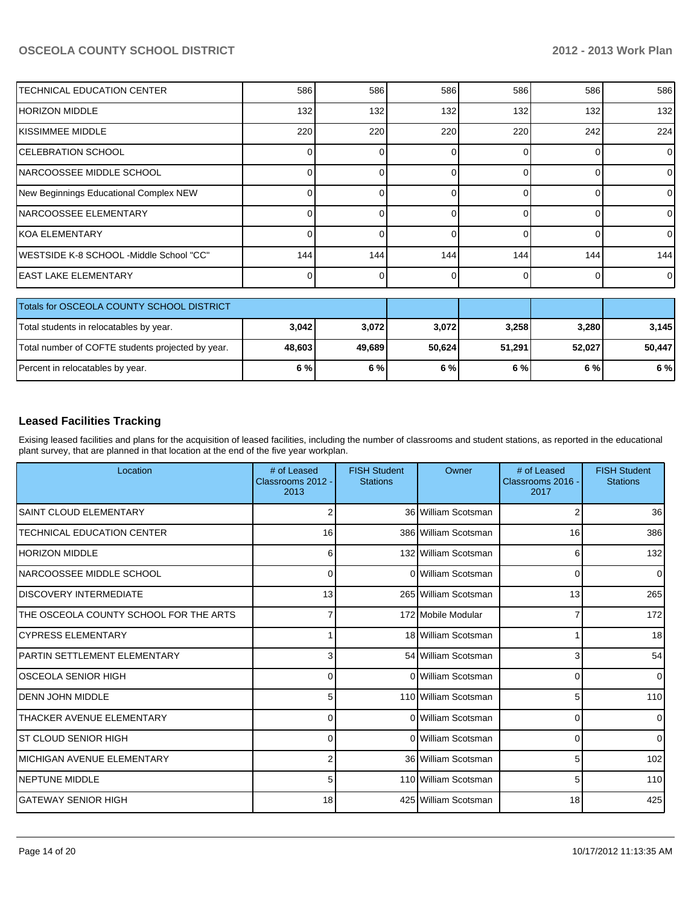| <b>TECHNICAL EDUCATION CENTER</b>         | 586 | 586 | 586 | 586      | 586 | 586            |
|-------------------------------------------|-----|-----|-----|----------|-----|----------------|
| IHORIZON MIDDLE                           | 132 | 132 | 132 | 132      | 132 | 132            |
| IKISSIMMEE MIDDLE                         | 220 | 220 | 220 | 220      | 242 | 224            |
| <b>CELEBRATION SCHOOL</b>                 |     |     |     |          |     | $\Omega$       |
| <b>NARCOOSSEE MIDDLE SCHOOL</b>           |     |     | U.  | $\Omega$ | 0   | $\Omega$       |
| New Beginnings Educational Complex NEW    |     |     |     |          | 0   | $\Omega$       |
| INARCOOSSEE ELEMENTARY                    |     |     | U   |          | 0   | $\Omega$       |
| IKOA ELEMENTARY                           |     |     |     | $\Omega$ | 0   | $\overline{0}$ |
| IWESTSIDE K-8 SCHOOL -Middle School "CC"  | 144 | 144 | 144 | 144      | 144 | 144            |
| <b>IEAST LAKE ELEMENTARY</b>              |     |     | U   | $\Omega$ | 0   | $\Omega$       |
|                                           |     |     |     |          |     |                |
| Totals for OSCEOLA COUNTY SCHOOL DISTRICT |     |     |     |          |     |                |
|                                           |     |     |     |          |     |                |

| LI OTAIS TOT USCEULA COUNT Y SCHOOL DISTRICT      |        |        |        |        |        |        |
|---------------------------------------------------|--------|--------|--------|--------|--------|--------|
| Total students in relocatables by year.           | 3,042  | 3.072  | 3,072  | 3,258  | 3.280  | 3.145  |
| Total number of COFTE students projected by year. | 48,603 | 49.689 | 50.624 | 51.291 | 52.027 | 50,447 |
| Percent in relocatables by year.                  | 6 % l  | 6%     | 6 %l   | 6 % l  | 6 % l  | 6 %    |

#### **Leased Facilities Tracking**

Exising leased facilities and plans for the acquisition of leased facilities, including the number of classrooms and student stations, as reported in the educational plant survey, that are planned in that location at the end of the five year workplan.

| Location                               | # of Leased<br>Classrooms 2012 -<br>2013 | <b>FISH Student</b><br><b>Stations</b> | Owner                | # of Leased<br>Classrooms 2016 -<br>2017 | <b>FISH Student</b><br><b>Stations</b> |
|----------------------------------------|------------------------------------------|----------------------------------------|----------------------|------------------------------------------|----------------------------------------|
| <b>SAINT CLOUD ELEMENTARY</b>          | 2                                        |                                        | 36 William Scotsman  | 2                                        | 36                                     |
| <b>TECHNICAL EDUCATION CENTER</b>      | 16                                       |                                        | 386 William Scotsman | 16                                       | 386                                    |
| <b>HORIZON MIDDLE</b>                  | 6                                        |                                        | 132 William Scotsman | 6                                        | 132                                    |
| NARCOOSSEE MIDDLE SCHOOL               | 0                                        |                                        | 0 William Scotsman   | $\Omega$                                 | $\Omega$                               |
| <b>DISCOVERY INTERMEDIATE</b>          | 13                                       |                                        | 265 William Scotsman | 13                                       | 265                                    |
| THE OSCEOLA COUNTY SCHOOL FOR THE ARTS | 7                                        |                                        | 172 Mobile Modular   | 7                                        | 172                                    |
| <b>CYPRESS ELEMENTARY</b>              |                                          |                                        | 18 William Scotsman  |                                          | 18                                     |
| <b>PARTIN SETTLEMENT ELEMENTARY</b>    | 3                                        |                                        | 54 William Scotsman  | 3                                        | 54                                     |
| IOSCEOLA SENIOR HIGH                   | 0                                        |                                        | 0 William Scotsman   | $\Omega$                                 | 0                                      |
| <b>DENN JOHN MIDDLE</b>                | 5 <sup>1</sup>                           |                                        | 110 William Scotsman | 5                                        | 110                                    |
| <b>THACKER AVENUE ELEMENTARY</b>       | $\Omega$                                 |                                        | 0 William Scotsman   | 0                                        |                                        |
| IST CLOUD SENIOR HIGH                  | $\Omega$                                 |                                        | 0 William Scotsman   | $\Omega$                                 | $\Omega$                               |
| İMICHIGAN AVENUE ELEMENTARY            | $\overline{2}$                           |                                        | 36 William Scotsman  | 5                                        | 102                                    |
| <b>NEPTUNE MIDDLE</b>                  | 5 <sup>1</sup>                           |                                        | 110 William Scotsman | 5                                        | 110                                    |
| İGATEWAY SENIOR HIGH                   | 18                                       |                                        | 425 William Scotsman | 18                                       | 425                                    |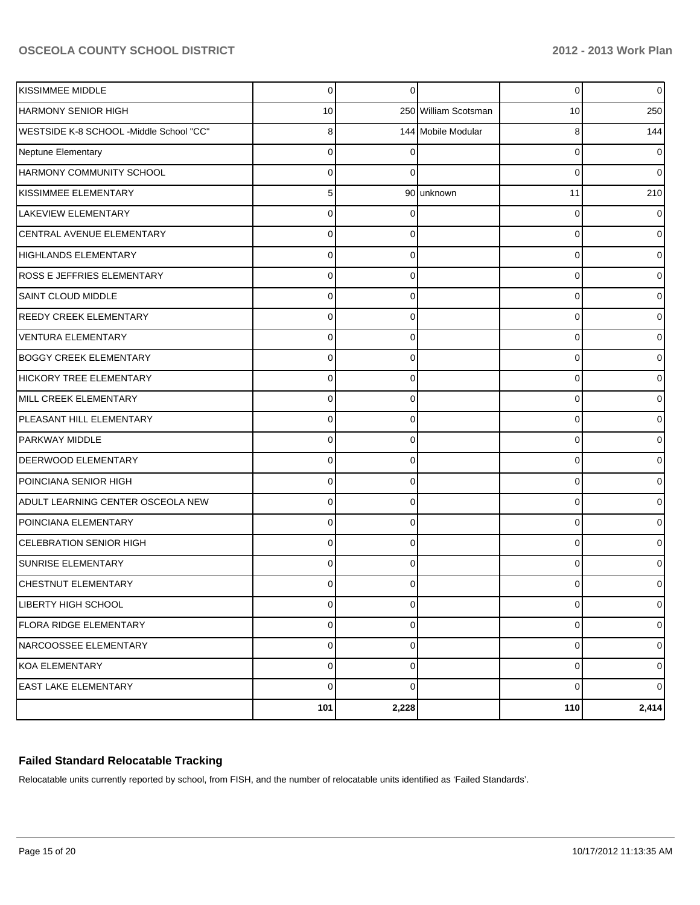| KISSIMMEE MIDDLE                        | $\mathbf 0$ | $\Omega$    |                      | 0           | $\circ$        |
|-----------------------------------------|-------------|-------------|----------------------|-------------|----------------|
| <b>HARMONY SENIOR HIGH</b>              | 10          |             | 250 William Scotsman | 10          | 250            |
| WESTSIDE K-8 SCHOOL -Middle School "CC" | 8           |             | 144 Mobile Modular   | 8           | 144            |
| Neptune Elementary                      | $\Omega$    |             |                      | 0           | $\overline{0}$ |
| HARMONY COMMUNITY SCHOOL                | 0           | ∩           |                      | 0           | $\overline{0}$ |
| KISSIMMEE ELEMENTARY                    | 5           |             | 90 unknown           | 11          | 210            |
| <b>LAKEVIEW ELEMENTARY</b>              | 0           |             |                      | $\Omega$    | 0              |
| CENTRAL AVENUE ELEMENTARY               | $\Omega$    | $\Omega$    |                      | $\Omega$    | $\overline{0}$ |
| <b>HIGHLANDS ELEMENTARY</b>             | 0           | C           |                      | $\Omega$    | 0              |
| ROSS E JEFFRIES ELEMENTARY              | $\Omega$    | $\Omega$    |                      | $\Omega$    | 0              |
| <b>SAINT CLOUD MIDDLE</b>               | 0           | C           |                      | $\Omega$    | 0              |
| <b>REEDY CREEK ELEMENTARY</b>           | $\Omega$    | $\Omega$    |                      | $\Omega$    | 0              |
| VENTURA ELEMENTARY                      | 0           | $\Omega$    |                      | $\Omega$    | 0              |
| <b>BOGGY CREEK ELEMENTARY</b>           | $\Omega$    | $\Omega$    |                      | $\Omega$    | 0              |
| HICKORY TREE ELEMENTARY                 | 0           | C           |                      | $\Omega$    | 0              |
| MILL CREEK ELEMENTARY                   | $\Omega$    | $\Omega$    |                      | $\Omega$    | 0              |
| PLEASANT HILL ELEMENTARY                | 0           | $\Omega$    |                      | $\Omega$    | 0              |
| PARKWAY MIDDLE                          | $\Omega$    | $\Omega$    |                      | $\Omega$    | 0              |
| DEERWOOD ELEMENTARY                     | 0           | C           |                      | $\Omega$    | 0              |
| POINCIANA SENIOR HIGH                   | $\Omega$    | $\Omega$    |                      | $\Omega$    | 0              |
| ADULT LEARNING CENTER OSCEOLA NEW       | 0           | $\Omega$    |                      | $\Omega$    | 0              |
| POINCIANA ELEMENTARY                    | $\Omega$    | $\Omega$    |                      | 0           | 0              |
| CELEBRATION SENIOR HIGH                 | 0           | C           |                      | $\Omega$    | 0              |
| <b>SUNRISE ELEMENTARY</b>               | $\Omega$    | $\Omega$    |                      | $\Omega$    | 0              |
| <b>CHESTNUT ELEMENTARY</b>              | 0           | 0           |                      | 0           | 0              |
| LIBERTY HIGH SCHOOL                     | $\mathbf 0$ | $\mathbf 0$ |                      | 0           | $\overline{0}$ |
| FLORA RIDGE ELEMENTARY                  | $\mathbf 0$ | $\mathbf 0$ |                      | 0           | $\overline{0}$ |
| NARCOOSSEE ELEMENTARY                   | $\mathbf 0$ | $\mathbf 0$ |                      | 0           | $\mathbf{O}$   |
| KOA ELEMENTARY                          | $\mathbf 0$ | $\mathbf 0$ |                      | 0           | $\overline{0}$ |
| <b>EAST LAKE ELEMENTARY</b>             | $\mathbf 0$ | $\mathbf 0$ |                      | $\mathbf 0$ | $\overline{0}$ |
|                                         | 101         | 2,228       |                      | 110         | 2,414          |

#### **Failed Standard Relocatable Tracking**

Relocatable units currently reported by school, from FISH, and the number of relocatable units identified as 'Failed Standards'.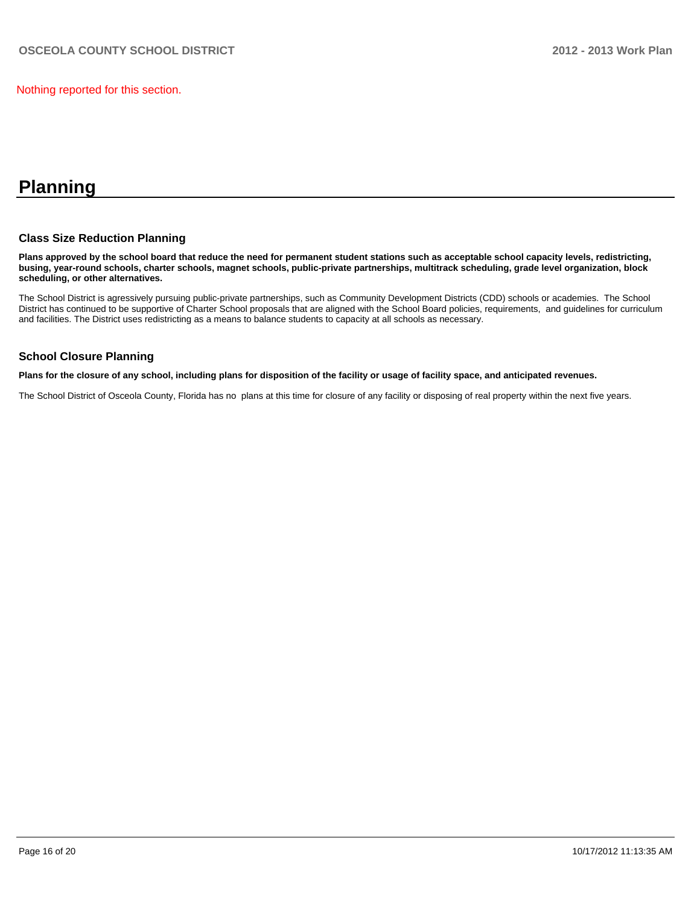Nothing reported for this section.

## **Planning**

#### **Class Size Reduction Planning**

**Plans approved by the school board that reduce the need for permanent student stations such as acceptable school capacity levels, redistricting, busing, year-round schools, charter schools, magnet schools, public-private partnerships, multitrack scheduling, grade level organization, block scheduling, or other alternatives.**

The School District is agressively pursuing public-private partnerships, such as Community Development Districts (CDD) schools or academies. The School District has continued to be supportive of Charter School proposals that are aligned with the School Board policies, requirements, and guidelines for curriculum and facilities. The District uses redistricting as a means to balance students to capacity at all schools as necessary.

#### **School Closure Planning**

**Plans for the closure of any school, including plans for disposition of the facility or usage of facility space, and anticipated revenues.**

The School District of Osceola County, Florida has no plans at this time for closure of any facility or disposing of real property within the next five years.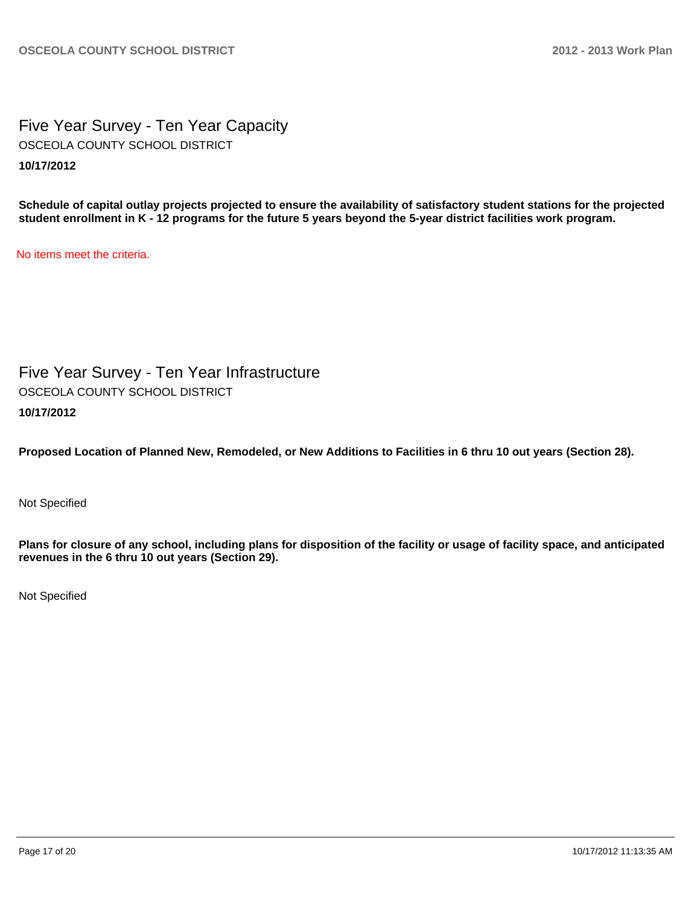Five Year Survey - Ten Year Capacity **10/17/2012** OSCEOLA COUNTY SCHOOL DISTRICT

**Schedule of capital outlay projects projected to ensure the availability of satisfactory student stations for the projected student enrollment in K - 12 programs for the future 5 years beyond the 5-year district facilities work program.**

No items meet the criteria.

Five Year Survey - Ten Year Infrastructure **10/17/2012** OSCEOLA COUNTY SCHOOL DISTRICT

**Proposed Location of Planned New, Remodeled, or New Additions to Facilities in 6 thru 10 out years (Section 28).**

Not Specified

**Plans for closure of any school, including plans for disposition of the facility or usage of facility space, and anticipated revenues in the 6 thru 10 out years (Section 29).**

Not Specified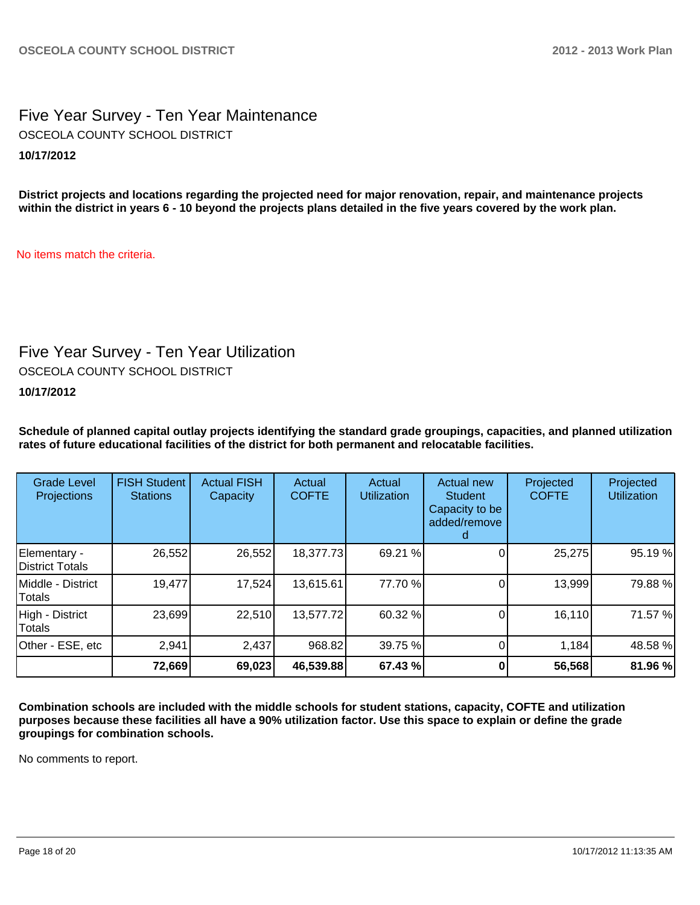### Five Year Survey - Ten Year Maintenance **10/17/2012** OSCEOLA COUNTY SCHOOL DISTRICT

**District projects and locations regarding the projected need for major renovation, repair, and maintenance projects within the district in years 6 - 10 beyond the projects plans detailed in the five years covered by the work plan.**

No items match the criteria.

## Five Year Survey - Ten Year Utilization

OSCEOLA COUNTY SCHOOL DISTRICT

#### **10/17/2012**

**Schedule of planned capital outlay projects identifying the standard grade groupings, capacities, and planned utilization rates of future educational facilities of the district for both permanent and relocatable facilities.**

| <b>Grade Level</b><br>Projections | <b>FISH Student</b><br><b>Stations</b> | <b>Actual FISH</b><br>Capacity | Actual<br><b>COFTE</b> | Actual<br><b>Utilization</b> | Actual new<br><b>Student</b><br>Capacity to be<br>added/remove | Projected<br><b>COFTE</b> | Projected<br><b>Utilization</b> |
|-----------------------------------|----------------------------------------|--------------------------------|------------------------|------------------------------|----------------------------------------------------------------|---------------------------|---------------------------------|
| Elementary -<br>District Totals   | 26,552                                 | 26,552                         | 18,377.73              | 69.21 %                      |                                                                | 25,275                    | 95.19 %                         |
| Middle - District<br>Totals       | 19,477                                 | 17,524                         | 13,615.61              | 77.70 %                      |                                                                | 13,999                    | 79.88%                          |
| High - District<br>Totals         | 23,699                                 | 22,510                         | 13,577.72              | 60.32 %                      |                                                                | 16,110                    | 71.57 %                         |
| Other - ESE, etc                  | 2,941                                  | 2,437                          | 968.82                 | 39.75 %                      |                                                                | 1,184                     | 48.58 %                         |
|                                   | 72,669                                 | 69,023                         | 46,539.88              | 67.43 %                      |                                                                | 56,568                    | 81.96 %                         |

**Combination schools are included with the middle schools for student stations, capacity, COFTE and utilization purposes because these facilities all have a 90% utilization factor. Use this space to explain or define the grade groupings for combination schools.**

No comments to report.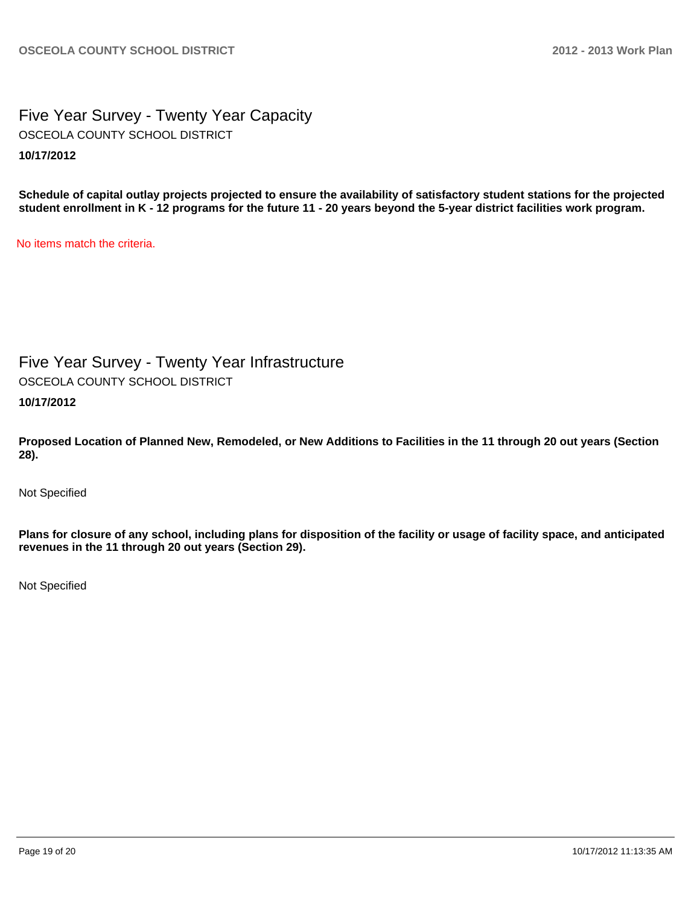Five Year Survey - Twenty Year Capacity **10/17/2012** OSCEOLA COUNTY SCHOOL DISTRICT

**Schedule of capital outlay projects projected to ensure the availability of satisfactory student stations for the projected student enrollment in K - 12 programs for the future 11 - 20 years beyond the 5-year district facilities work program.**

No items match the criteria.

Five Year Survey - Twenty Year Infrastructure

OSCEOLA COUNTY SCHOOL DISTRICT

**10/17/2012**

**Proposed Location of Planned New, Remodeled, or New Additions to Facilities in the 11 through 20 out years (Section 28).**

Not Specified

**Plans for closure of any school, including plans for disposition of the facility or usage of facility space, and anticipated revenues in the 11 through 20 out years (Section 29).**

Not Specified